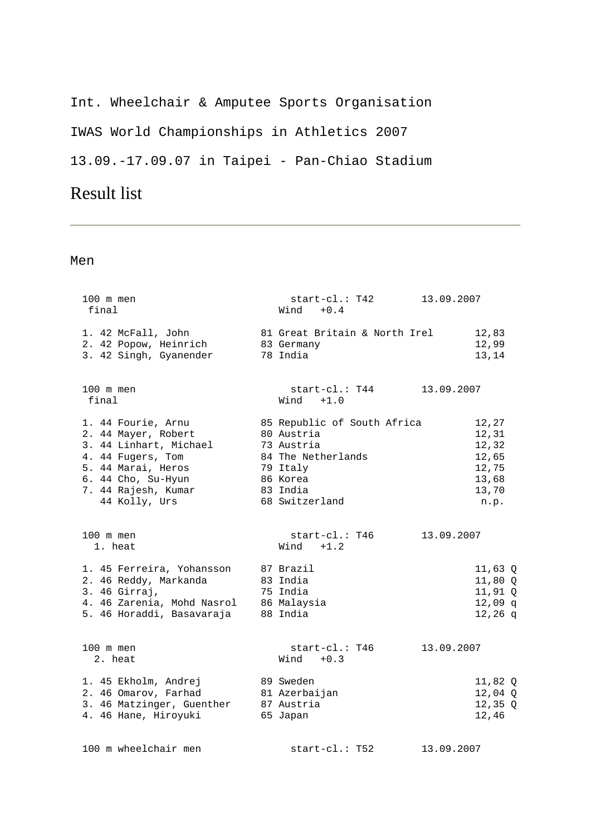### Int. Wheelchair & Amputee Sports Organisation

IWAS World Championships in Athletics 2007

13.09.-17.09.07 in Taipei - Pan-Chiao Stadium

# Result list

| 100 m men<br>final                                                                                                                                                           | start-cl.: T42<br>$Wind + 0.4$                                                                                                      | 13.09.2007                                                          |  |  |
|------------------------------------------------------------------------------------------------------------------------------------------------------------------------------|-------------------------------------------------------------------------------------------------------------------------------------|---------------------------------------------------------------------|--|--|
| 1. 42 McFall, John<br>2. 42 Popow, Heinrich<br>3. 42 Singh, Gyanender                                                                                                        | 81 Great Britain & North Irel<br>83 Germany<br>78 India                                                                             | 12,83<br>12,99<br>13,14                                             |  |  |
| 100 m men<br>final                                                                                                                                                           | $start-c1$ .: T44<br>$+1.0$<br>Wind                                                                                                 | 13.09.2007                                                          |  |  |
| 1. 44 Fourie, Arnu<br>2. 44 Mayer, Robert<br>3. 44 Linhart, Michael<br>4. 44 Fugers, Tom<br>5. 44 Marai, Heros<br>6. 44 Cho, Su-Hyun<br>7. 44 Rajesh, Kumar<br>44 Kolly, Urs | 85 Republic of South Africa<br>80 Austria<br>73 Austria<br>84 The Netherlands<br>79 Italy<br>86 Korea<br>83 India<br>68 Switzerland | 12,27<br>12,31<br>12,32<br>12,65<br>12,75<br>13,68<br>13,70<br>n.p. |  |  |
| 100 m men<br>1. heat                                                                                                                                                         | start-cl.: T46<br>$Wind +1.2$                                                                                                       | 13.09.2007                                                          |  |  |
| 1. 45 Ferreira, Yohansson<br>2. 46 Reddy, Markanda<br>3. 46 Girraj,<br>4. 46 Zarenia, Mohd Nasrol<br>5. 46 Horaddi, Basavaraja                                               | 87 Brazil<br>83 India<br>75 India<br>86 Malaysia<br>88 India                                                                        | $11,63$ Q<br>11,80 Q<br>$11,91$ Q<br>$12,09$ q<br>$12,26$ q         |  |  |
| 100 m men<br>2. heat                                                                                                                                                         | $start-c1$ .: T $46$<br>$+0.3$<br>Wind                                                                                              | 13.09.2007                                                          |  |  |
| 1. 45 Ekholm, Andrej<br>2. 46 Omarov, Farhad<br>3. 46 Matzinger, Guenther<br>4. 46 Hane, Hiroyuki                                                                            | 89 Sweden<br>81 Azerbaijan<br>87 Austria<br>65 Japan                                                                                | 11,82 Q<br>$12,04$ Q<br>$12,35$ Q<br>12,46                          |  |  |
| 100 m wheelchair men                                                                                                                                                         | $start-c1$ .: T52                                                                                                                   | 13.09.2007                                                          |  |  |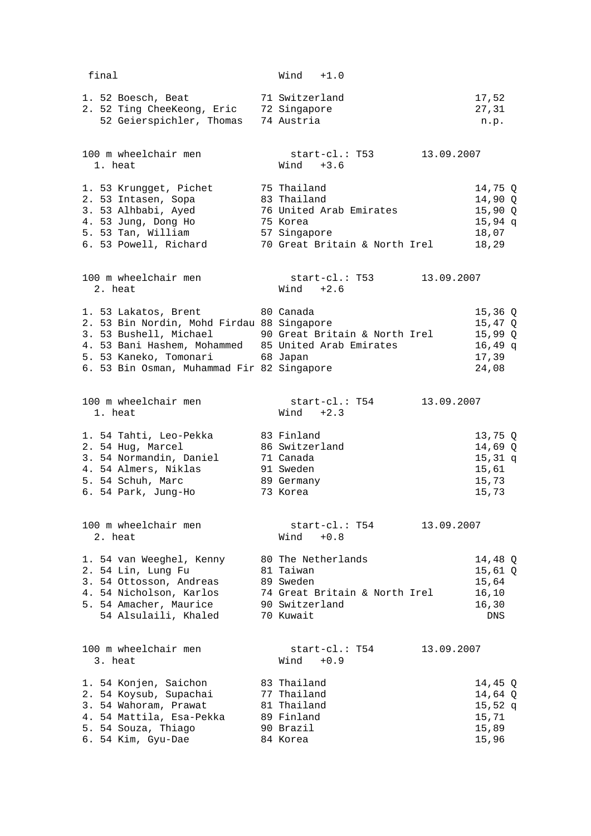final Wind +1.0 1. 52 Boesch, Beat 71 Switzerland 17,52 2. 52 Ting CheeKeong, Eric 72 Singapore 27,31 52 Geierspichler, Thomas 74 Austria n.p. 100 m wheelchair men start-cl.: T53 13.09.2007 1. heat Wind +3.6 1. 53 Krungget, Pichet 75 Thailand 14,75 Q 2. 53 Intasen, Sopa 83 Thailand 14,90 Q 3. 53 Alhbabi, Ayed 76 United Arab Emirates 15,90 Q 4. 53 Jung, Dong Ho 75 Korea 15,94 q 5. 53 Tan, William 57 Singapore 18,07 6. 53 Powell, Richard 70 Great Britain & North Irel 18,29 100 m wheelchair men start-cl.: T53 13.09.2007 2. heat Wind +2.6 1. 53 Lakatos, Brent 80 Canada 15,36 Q 2. 53 Bin Nordin, Mohd Firdau 88 Singapore 15,47 Q 3. 53 Bushell, Michael 90 Great Britain & North Irel 15,99 Q 4. 53 Bani Hashem, Mohammed 85 United Arab Emirates 16,49 q 5. 53 Kaneko, Tomonari 68 Japan 17,39 Example of the computant and the US of Sapan and Times of Sapan and Times and Times of Sapan and Times of Sapan and Times of Sapan and Times and Times of Sapan and Times of Sapan and Times of Sapan and Times of Sapan and T 100 m wheelchair men start-cl.: T54 13.09.2007<br>1. heat  $\begin{array}{ccc} 100 & m \end{array}$  1. heat Wind +2.3 1. 54 Tahti, Leo-Pekka 83 Finland 13,75 Q 2. 54 Hug, Marcel 86 Switzerland 14,69 Q 3. 54 Normandin, Daniel 71 Canada 15,31 q 4. 54 Almers, Niklas 91 Sweden 15,61 5. 54 Schuh, Marc 89 Germany 15,73 6. 54 Park, Jung-Ho 73 Korea 15,73 100 m wheelchair men start-cl.: T54 13.09.2007 2. heat Wind +0.8 1. 54 van Weeghel, Kenny 80 The Netherlands 14,48 Q 2. 54 Lin, Lung Fu 81 Taiwan 15,61 Q 3. 54 Ottosson, Andreas 89 Sweden 15,64 4. 54 Nicholson, Karlos 74 Great Britain & North Irel 16,10 5. 54 Amacher, Maurice 90 Switzerland 16,30 54 Alsulaili, Khaled 70 Kuwait DNS 100 m wheelchair men start-cl.: T54 13.09.2007 3. heat Wind +0.9 1. 54 Konjen, Saichon 83 Thailand 14,45 Q 2. 54 Koysub, Supachai 77 Thailand 14,64 Q 3. 54 Wahoram, Prawat 81 Thailand 15,52 q 4. 54 Mattila, Esa-Pekka 89 Finland 15,71 5. 54 Souza, Thiago 90 Brazil 15,89 6. 54 Kim, Gyu-Dae 84 Korea 15,96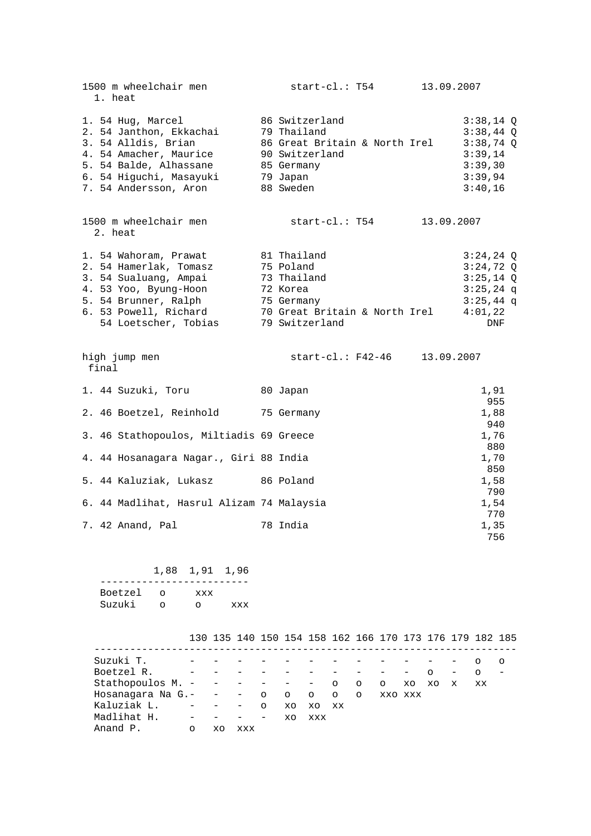| $3:38,14$ Q<br>$3:38,44$ Q<br>86 Great Britain & North Irel<br>$3:38,74$ Q<br>3:39,14<br>3:39,30<br>3:39,94<br>3:40,16                           |
|--------------------------------------------------------------------------------------------------------------------------------------------------|
| 13.09.2007                                                                                                                                       |
| $3:24,24$ Q<br>$3:24,72$ Q<br>$3:25,14$ Q<br>$3:25,24$ q<br>$3:25,44$ q<br>6. 53 Powell, Richard 70 Great Britain & North Irel<br>4:01,22<br>DNF |
| start-cl.: F42-46 13.09.2007                                                                                                                     |
| 1,91                                                                                                                                             |
| 955<br>1,88<br>940                                                                                                                               |
| 1,76<br>880                                                                                                                                      |
| 1,70<br>850                                                                                                                                      |
| 1,58<br>790                                                                                                                                      |
| 1,54                                                                                                                                             |
| 770<br>1,35<br>756                                                                                                                               |
|                                                                                                                                                  |

|  |  | 1,88 1,91 1,96 |  |  |  |
|--|--|----------------|--|--|--|
|  |  |                |  |  |  |

| Boetzel | xxx |     |
|---------|-----|-----|
| Suzuki  |     | xxx |

|                                           |         |              |     |                          |    |       | 130 135 140 150 154 158 162 166 170 173 176 179 182 185 |          |         |                   |         |                   |                       |   |
|-------------------------------------------|---------|--------------|-----|--------------------------|----|-------|---------------------------------------------------------|----------|---------|-------------------|---------|-------------------|-----------------------|---|
| Suzuki T.                                 |         |              |     |                          |    |       |                                                         |          |         |                   |         |                   | $\circ$               | ∩ |
| Boetzel R.                                |         | $\sim$ $  -$ |     |                          |    |       |                                                         |          |         | $\qquad \qquad -$ | $\circ$ | $\qquad \qquad -$ | $\circ$<br>$\sim$ $-$ |   |
| Stathopoulos M. - - - - - - - 0           |         |              |     |                          |    |       |                                                         | $\Omega$ | $\circ$ | XO                | XO      | $\mathbf{x}$      | XX                    |   |
| Hosanagara Na G.- $-$ - $\circ$ o o o o o |         |              |     |                          |    |       |                                                         |          | XXO XXX |                   |         |                   |                       |   |
| Kaluziak L.                               |         | $\sim$ $  -$ |     | $\Omega$                 | XO | XO XX |                                                         |          |         |                   |         |                   |                       |   |
| Madlihat H. -                             |         |              |     | $\overline{\phantom{0}}$ | XO | XXX   |                                                         |          |         |                   |         |                   |                       |   |
| Anand P.                                  | $\circ$ | xо           | xxx |                          |    |       |                                                         |          |         |                   |         |                   |                       |   |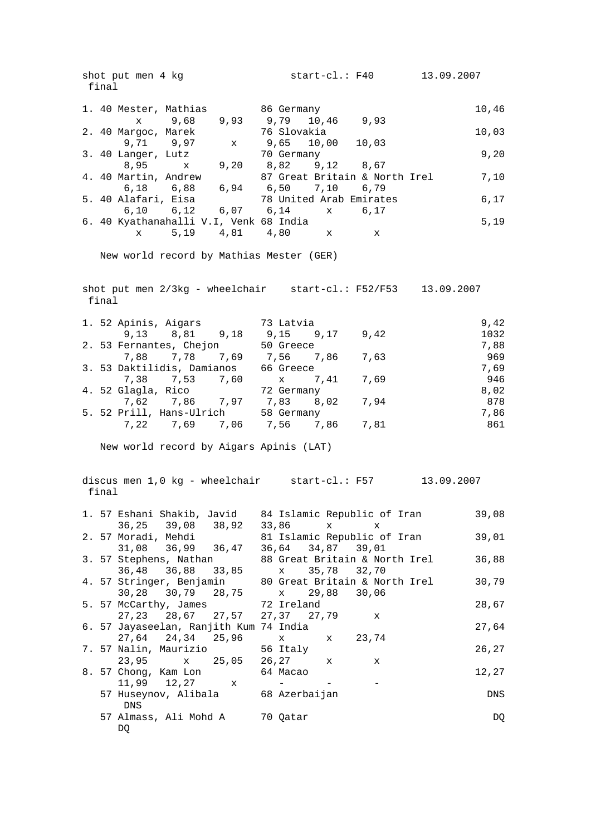shot put men 4 kg start-cl.: F40 13.09.2007 final 1. 40 Mester, Mathias 86 Germany 10,46 x 9,68 9,93 9,79 10,46 9,93 2. 40 Margoc, Marek 76 Slovakia 10,03 9,71 9,97 x 9,65 10,00 10,03 3. 40 Langer, Lutz 70 Germany 9,20 8,95 x 9,20 8,82 9,12 8,67 4. 40 Martin, Andrew 87 Great Britain & North Irel 7,10 6,18 6,88 6,94 6,50 7,10 6,79 5. 40 Alafari, Eisa 78 United Arab Emirates 6,17 6,10 6,12 6,07 6,14 x 6,17 6. 40 Kyathanahalli V.I, Venk 68 India 5,19 x 5,19 4,81 4,80 x x New world record by Mathias Mester (GER) shot put men  $2/3$ kg - wheelchair start-cl.: F52/F53 13.09.2007 final 1. 52 Apinis, Aigars 73 Latvia 9,42 9,13 8,81 9,18 9,15 9,17 9,42 1032 2. 53 Fernantes, Chejon 50 Greece 60 and 50 Greece 50 and 50 and 50 and 50 and 50 and 50 and 50 and 50 and 50 7,88 7,78 7,69 7,56 7,86 7,63 969 3. 53 Daktilidis, Damianos 66 Greece 7,69 7,38 7,53 7,60 x 7,41 7,69 946 4. 52 Glagla, Rico 72 Germany 8,02 7,62 7,86 7,97 7,83 8,02 7,94 878 5. 52 Prill, Hans-Ulrich 58 Germany 7,86 7,22 7,69 7,06 7,56 7,86 7,81 861 New world record by Aigars Apinis (LAT) discus men 1,0 kg - wheelchair start-cl.: F57 13.09.2007 final 1. 57 Eshani Shakib, Javid 84 Islamic Republic of Iran 39,08 36,25 39,08 38,92 33,86 x x 2. 57 Moradi, Mehdi 81 Islamic Republic of Iran 39,01 31,08 36,99 36,47 36,64 34,87 39,01 3. 57 Stephens, Nathan 88 Great Britain & North Irel 36,88 36,48 36,88 33,85 x 35,78 32,70 4. 57 Stringer, Benjamin 80 Great Britain & North Irel 30,79 30,28 30,79 28,75 x 29,88 30,06 5. 57 McCarthy, James 72 Ireland 28,67 McCartily, James<br>27,23 28,67 27,57 27,37 27,79 x 6. 57 Jayaseelan, Ranjith Kum 74 India 27,64 27,64 24,34 25,96 x 23,74 7. 57 Nalin, Maurizio 56 Italy 26,27<br>23,95 x 25,05 26,27 x x 26,27<br>26 Particular 27 Continuus 24 Mars 26 November 2002  $23,95$  x  $25,05$   $26,27$ 8. 57 Chong, Kam Lon 64 Macao 12,27  $x 11,99$   $12,27$  x - - - 57 Huseynov, Alibala 68 Azerbaijan DNS DNS 57 Almass, Ali Mohd A 70 Qatar DQ  $DQ$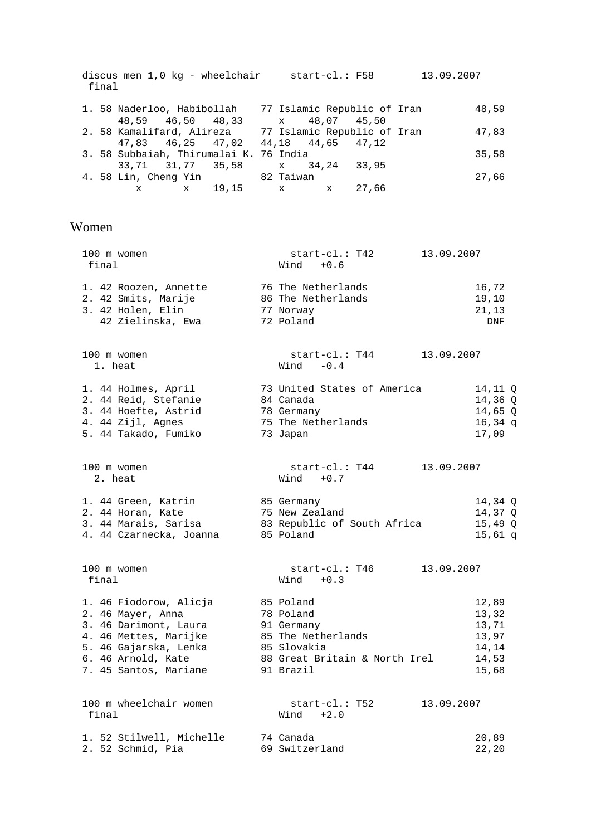| final |                   | discus men 1,0 kg - wheelchair                         |  |  | start-cl.: F58              | 13.09.2007 |       |
|-------|-------------------|--------------------------------------------------------|--|--|-----------------------------|------------|-------|
|       |                   | 1. 58 Naderloo, Habibollah                             |  |  | 77 Islamic Republic of Iran |            | 48,59 |
|       | 48,59 46,50 48,33 |                                                        |  |  | x 48,07 45,50               |            |       |
|       |                   | 2. 58 Kamalifard, Alireza 177 Islamic Republic of Iran |  |  |                             |            | 47,83 |
|       |                   | 47.83 46.25 47.02 44.18 44.65 47.12                    |  |  |                             |            |       |
|       |                   | 3. 58 Subbaiah, Thirumalai K. 76 India                 |  |  |                             |            | 35,58 |
|       |                   | 33,71 31,77 35,58 x 34,24 33,95                        |  |  |                             |            |       |
|       |                   | 4. 58 Lin, Cheng Yin 82 Taiwan                         |  |  |                             |            | 27,66 |
|       |                   | x x 19,15 x x 27,66                                    |  |  |                             |            |       |
|       |                   |                                                        |  |  |                             |            |       |

### Women

| 100 m women<br>final            | start-cl.: T42<br>13.09.2007<br>$Wind + 0.6$          |           |
|---------------------------------|-------------------------------------------------------|-----------|
| 1. 42 Roozen, Annette           | 76 The Netherlands                                    | 16,72     |
| 2. 42 Smits, Marije             | 86 The Netherlands                                    | 19,10     |
| 3. 42 Holen, Elin               | 77 Norway                                             | 21, 13    |
| 42 Zielinska, Ewa               | 72 Poland                                             | DNF       |
| 100 m women<br>1. heat          | start-cl.: T44<br>13.09.2007<br>$-0.4$<br>Wind        |           |
| 1. 44 Holmes, April             | 73 United States of America                           | 14,11 Q   |
| 2. 44 Reid, Stefanie            | 84 Canada                                             | 14,36 Q   |
| 3. 44 Hoefte, Astrid            | 78 Germany                                            | $14,65$ Q |
| 4. 44 Zijl, Agnes               | 75 The Netherlands                                    | $16,34$ q |
| 5. 44 Takado, Fumiko            | 73 Japan                                              | 17,09     |
| 100 m women<br>2. heat          | start-cl.: T44<br>13.09.2007<br>$Wind + 0.7$          |           |
| 1. 44 Green, Katrin             | 85 Germany                                            | 14,34 Q   |
| 2. 44 Horan, Kate               | 75 New Zealand                                        | 14,37 Q   |
| 3. 44 Marais, Sarisa            | 83 Republic of South Africa                           | $15,49$ Q |
| 4. 44 Czarnecka, Joanna         | 85 Poland                                             | $15,61$ q |
| 100 m women<br>final            | start-cl.: T46<br>13.09.2007<br>Wind $+0.3$           |           |
| 1. 46 Fiodorow, Alicja          | 85 Poland                                             | 12,89     |
| 2. 46 Mayer, Anna               | 78 Poland                                             | 13,32     |
| 3. 46 Darimont, Laura           | 91 Germany                                            | 13,71     |
| 4. 46 Mettes, Marijke           | 85 The Netherlands                                    | 13,97     |
| 5. 46 Gajarska, Lenka           | 85 Slovakia                                           | 14,14     |
| 6. 46 Arnold, Kate              | 88 Great Britain & North Irel                         | 14,53     |
| 7. 45 Santos, Mariane           | 91 Brazil                                             | 15,68     |
| 100 m wheelchair women<br>final | $start\text{-}cl.$ : T52<br>13.09.2007<br>$Wind +2.0$ |           |
| 1. 52 Stilwell, Michelle        | 74 Canada                                             | 20,89     |
| 2. 52 Schmid, Pia               | 69 Switzerland                                        | 22,20     |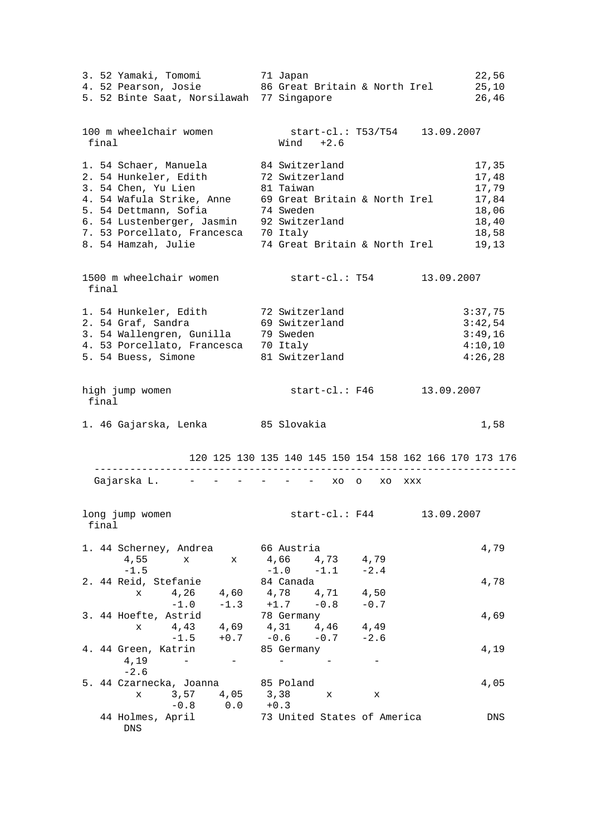3. 52 Yamaki, Tomomi 71 Japan 22,56 4. 52 Pearson, Josie 86 Great Britain & North Irel 25,10 and 1.52 Pearson, Josie 1.52 Binte Saat, Norsilawah 77 Singapore<br>1.52 Binte Saat, Norsilawah 77 Singapore 26,46 100 m wheelchair women start-cl.: T53/T54 13.09.2007 final Wind +2.6 1. 54 Schaer, Manuela 84 Switzerland 17,35 2. 54 Hunkeler, Edith 72 Switzerland 17,48 3. 54 Chen, Yu Lien 81 Taiwan 17,79 4. 54 Wafula Strike, Anne 69 Great Britain & North Irel 17,84 5. 54 Dettmann, Sofia 74 Sweden 18,06 6. 54 Lustenberger, Jasmin 92 Switzerland 18,40 7. 53 Porcellato, Francesca 70 Italy 18,58 8. 54 Hamzah, Julie 74 Great Britain & North Irel 19,13 1500 m wheelchair women start-cl.: T54 13.09.2007 final 1. 54 Hunkeler, Edith 72 Switzerland 3:37,75 2. 54 Graf, Sandra 69 Switzerland 3:42,54 3. 54 Wallengren, Gunilla 39 Sweden 3:49,16 4. 53 Porcellato, Francesca 70 Italy 4:10,10 5. 54 Buess, Simone 81 Switzerland 4:26,28 high jump women start-cl.: F46 13.09.2007 final 1. 46 Gajarska, Lenka 1985 Slovakia 1,58 120 125 130 135 140 145 150 154 158 162 166 170 173 176 ----------------------------------------------------------------------- Gajarska L. - - - - - - xo o xo xxx long jump women start-cl.: F44 13.09.2007 final 1. 44 Scherney, Andrea 66 Austria 4,79 4,55 x x 4,66 4,73 4,79  $-1.5$   $-1.0$   $-1.1$   $-2.4$  2. 44 Reid, Stefanie 84 Canada 4,78 x 4,26 4,60 4,78 4,71 4,50  $-1.0$   $-1.3$   $+1.7$   $-0.8$   $-0.7$ 3. 44 Hoefte, Astrid 78 Germany 1,69 x 4,43 4,69 4,31 4,46 4,49  $-1.5$   $+0.7$   $-0.6$   $-0.7$   $-2.6$  4. 44 Green, Katrin 85 Germany 4,19  $4,19$  - - - - - - $-2.6$  5. 44 Czarnecka, Joanna 85 Poland 4,05 x 3,57 4,05 3,38 x x -0.8 0.0 +0.3 44 Holmes, April 73 United States of America DNS DNS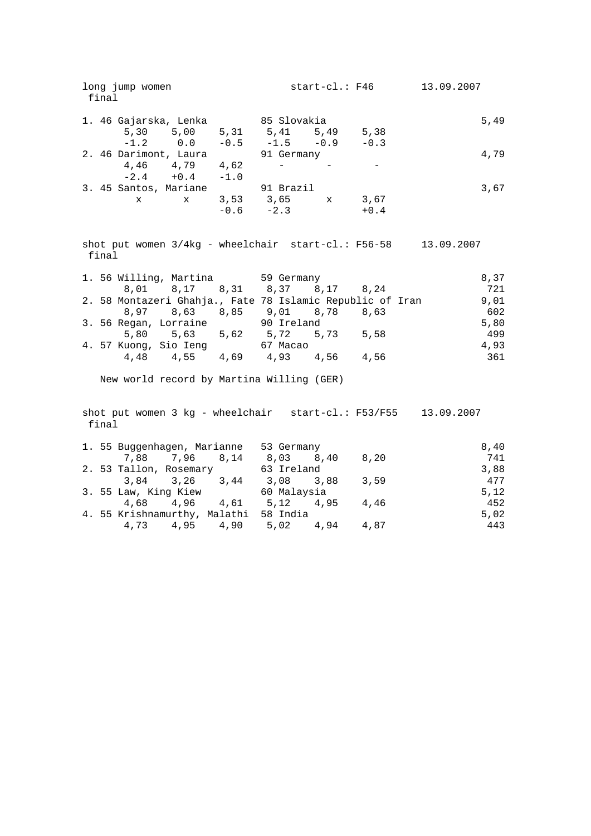| long jump women<br>final                                       |  |             | start-cl.: F46 | 13.09.2007 |            |  |  |
|----------------------------------------------------------------|--|-------------|----------------|------------|------------|--|--|
| 1. 46 Gajarska, Lenka                                          |  | 85 Slovakia |                |            | 5,49       |  |  |
| 5,30 5,00 5,31 5,41 5,49 5,38                                  |  |             |                |            |            |  |  |
| $-1.2$ 0.0 $-0.5$ $-1.5$ $-0.9$ $-0.3$                         |  |             |                |            |            |  |  |
| 2. 46 Darimont, Laura                                          |  | 91 Germany  |                |            | 4,79       |  |  |
| 4,46 4,79 4,62                                                 |  |             |                |            |            |  |  |
| $-2.4 + 0.4 - 1.0$                                             |  |             |                |            |            |  |  |
| 3. 45 Santos, Mariane                                          |  | 91 Brazil   |                |            | 3,67       |  |  |
| x x 3,53 3,65 x 3,67                                           |  |             |                |            |            |  |  |
|                                                                |  | $-0.6 -2.3$ |                | $+0.4$     |            |  |  |
|                                                                |  |             |                |            |            |  |  |
| shot put women $3/4kg$ - wheelchair start-cl.: F56-58<br>final |  |             |                |            | 13.09.2007 |  |  |

|  | 1. 56 Willing, Martina 59 Germany                         |           |      | 8,37 |
|--|-----------------------------------------------------------|-----------|------|------|
|  | 8,01 8,17 8,31 8,37 8,17 8,24                             |           |      | 721  |
|  | 2. 58 Montazeri Ghahja., Fate 78 Islamic Republic of Iran |           |      | 9,01 |
|  | 8,97 8,63 8,85 9,01 8,78                                  |           | 8,63 | 602  |
|  | 3. 56 Regan, Lorraine 50 Po Ireland                       |           |      | 5,80 |
|  | 5,80 5,63 5,62                                            | 5,72 5,73 | 5,58 | 499  |
|  | 4. 57 Kuong, Sio Ieng                                     | 67 Macao  |      | 4.93 |
|  | 4,48 4,55 4,69                                            | 4,93 4,56 | 4,56 | 361  |

New world record by Martina Willing (GER)

 shot put women 3 kg - wheelchair start-cl.: F53/F55 13.09.2007 final

|                      |                        |                      | 1. 55 Buggenhagen, Marianne           | 53 Germany |  |      | 8,40 |
|----------------------|------------------------|----------------------|---------------------------------------|------------|--|------|------|
|                      |                        |                      | 7,88 7,96 8,14                        | 8,03 8,40  |  | 8,20 | 741  |
|                      | 2. 53 Tallon, Rosemary |                      |                                       | 63 Ireland |  |      | 3,88 |
|                      |                        | $3.84$ $3.26$ $3.44$ |                                       | 3,08 3,88  |  | 3,59 | 477  |
| 3. 55 Law, King Kiew |                        |                      | 60 Malaysia                           |            |  | 5.12 |      |
|                      |                        | 4,68 4,96 4,61       |                                       | 5,12 4,95  |  | 4,46 | 452  |
|                      |                        |                      | 4. 55 Krishnamurthy, Malathi 58 India |            |  |      | 5,02 |
|                      |                        |                      | 4,73 4,95 4,90 5,02 4,94              |            |  | 4,87 | 443  |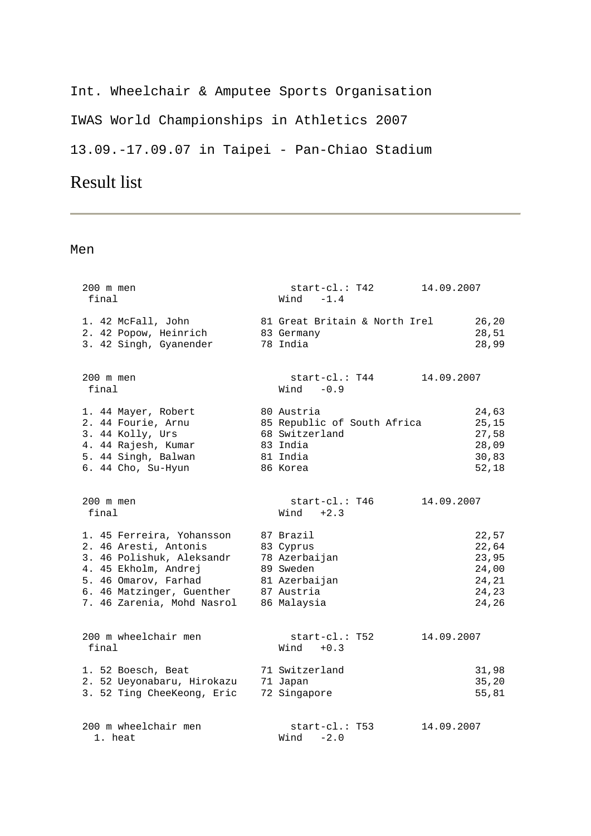# Int. Wheelchair & Amputee Sports Organisation IWAS World Championships in Athletics 2007 13.09.-17.09.07 in Taipei - Pan-Chiao Stadium

# Result list

| 200 m men<br>final                                                                                                                                                                         | $start-c1$ .: T42<br>Wind $-1.4$                                                                   | 14.09.2007                                                  |
|--------------------------------------------------------------------------------------------------------------------------------------------------------------------------------------------|----------------------------------------------------------------------------------------------------|-------------------------------------------------------------|
| 1. 42 McFall, John<br>2. 42 Popow, Heinrich<br>3. 42 Singh, Gyanender                                                                                                                      | 81 Great Britain & North Irel<br>83 Germany<br>78 India                                            | 26, 20<br>28,51<br>28,99                                    |
| 200 m men<br>final                                                                                                                                                                         | start-cl.: T44<br>$Wind -0.9$                                                                      | 14.09.2007                                                  |
| 1. 44 Mayer, Robert<br>2. 44 Fourie, Arnu<br>3. 44 Kolly, Urs<br>4. 44 Rajesh, Kumar<br>5. 44 Singh, Balwan<br>6. 44 Cho, Su-Hyun                                                          | 80 Austria<br>85 Republic of South Africa<br>68 Switzerland<br>83 India<br>81 India<br>86 Korea    | 24,63<br>25, 15<br>27,58<br>28,09<br>30,83<br>52,18         |
| 200 m men<br>final                                                                                                                                                                         | start-cl.: T46<br>$Wind +2.3$                                                                      | 14.09.2007                                                  |
| 1. 45 Ferreira, Yohansson<br>2. 46 Aresti, Antonis<br>3. 46 Polishuk, Aleksandr<br>4. 45 Ekholm, Andrej<br>5. 46 Omarov, Farhad<br>6. 46 Matzinger, Guenther<br>7. 46 Zarenia, Mohd Nasrol | 87 Brazil<br>83 Cyprus<br>78 Azerbaijan<br>89 Sweden<br>81 Azerbaijan<br>87 Austria<br>86 Malaysia | 22,57<br>22,64<br>23,95<br>24,00<br>24,21<br>24,23<br>24,26 |
| 200 m wheelchair men<br>final                                                                                                                                                              | $start-c1.: T52$<br>$Wind + 0.3$                                                                   | 14.09.2007                                                  |
| 1. 52 Boesch, Beat<br>2. 52 Ueyonabaru, Hirokazu<br>3. 52 Ting CheeKeong, Eric                                                                                                             | 71 Switzerland<br>71 Japan<br>72 Singapore                                                         | 31,98<br>35, 20<br>55,81                                    |
| 200 m wheelchair men<br>1. heat                                                                                                                                                            | start-cl.: T53<br>$Wind -2.0$                                                                      | 14.09.2007                                                  |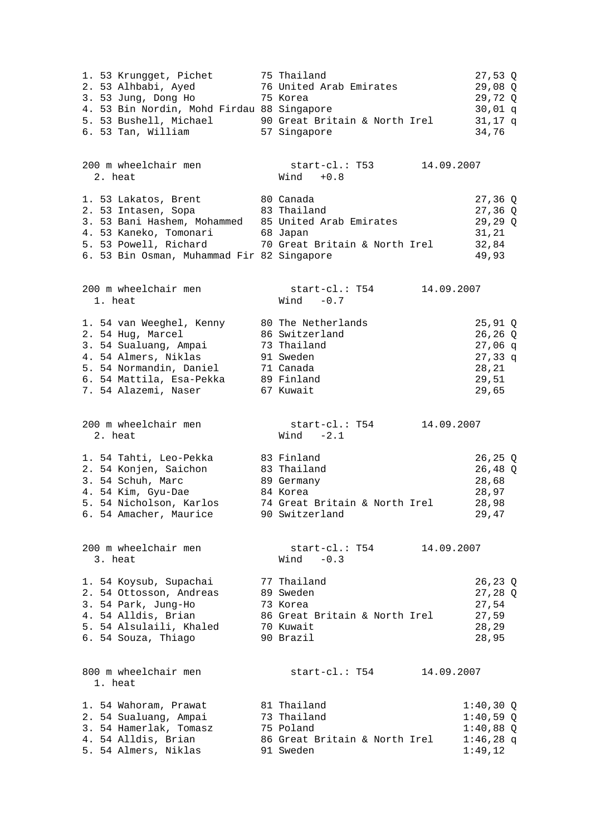| 1. 53 Krungget, Pichet<br>2. 53 Alhbabi, Ayed<br>3. 53 Jung, Dong Ho<br>4. 53 Bin Nordin, Mohd Firdau 88 Singapore<br>5. 53 Bushell, Michael<br>6. 53 Tan, William                                  | 75 Thailand<br>76 United Arab Emirates<br>75 Korea<br>90 Great Britain & North Irel<br>57 Singapore      |            | $27,53$ Q<br>29,08 Q<br>29,72 Q<br>30,01 q<br>$31,17$ q<br>34,76                     |
|-----------------------------------------------------------------------------------------------------------------------------------------------------------------------------------------------------|----------------------------------------------------------------------------------------------------------|------------|--------------------------------------------------------------------------------------|
| 200 m wheelchair men<br>2. heat                                                                                                                                                                     | $start-c1.: T53$<br>$Wind + 0.8$                                                                         | 14.09.2007 |                                                                                      |
| 1. 53 Lakatos, Brent<br>2. 53 Intasen, Sopa<br>3. 53 Bani Hashem, Mohammed 85 United Arab Emirates<br>4. 53 Kaneko, Tomonari<br>5. 53 Powell, Richard<br>6. 53 Bin Osman, Muhammad Fir 82 Singapore | 80 Canada<br>83 Thailand<br>68 Japan<br>70 Great Britain & North Irel                                    |            | $27,36$ Q<br>$27,36$ Q<br>$29, 29$ Q<br>31, 21<br>32,84<br>49,93                     |
| 200 m wheelchair men<br>1. heat                                                                                                                                                                     | $start-c1: T54$<br>Wind $-0.7$                                                                           | 14.09.2007 |                                                                                      |
| 1. 54 van Weeghel, Kenny<br>2. 54 Hug, Marcel<br>3. 54 Sualuang, Ampai<br>4. 54 Almers, Niklas<br>5. 54 Normandin, Daniel<br>6. 54 Mattila, Esa-Pekka<br>7. 54 Alazemi, Naser                       | 80 The Netherlands<br>86 Switzerland<br>73 Thailand<br>91 Sweden<br>71 Canada<br>89 Finland<br>67 Kuwait |            | $25,91$ Q<br>$26, 26$ Q<br>$27,06$ q<br>$27,33 \text{ q}$<br>28,21<br>29,51<br>29,65 |
| 200 m wheelchair men<br>2. heat                                                                                                                                                                     | start-cl.: T54<br>Wind $-2.1$                                                                            | 14.09.2007 |                                                                                      |
| 1. 54 Tahti, Leo-Pekka<br>2. 54 Konjen, Saichon<br>3. 54 Schuh, Marc<br>4. 54 Kim, Gyu-Dae<br>5. 54 Nicholson, Karlos<br>6. 54 Amacher, Maurice                                                     | 83 Finland<br>83 Thailand<br>89 Germany<br>84 Korea<br>74 Great Britain & North Irel<br>90 Switzerland   |            | $26, 25$ Q<br>26,48 Q<br>28,68<br>28,97<br>28,98<br>29,47                            |
| 200 m wheelchair men<br>3. heat                                                                                                                                                                     | start-cl.: T54<br>$-0.3$<br>Wind                                                                         | 14.09.2007 |                                                                                      |
| 1. 54 Koysub, Supachai<br>2. 54 Ottosson, Andreas<br>3. 54 Park, Jung-Ho<br>4. 54 Alldis, Brian<br>5. 54 Alsulaili, Khaled<br>6. 54 Souza, Thiago                                                   | 77 Thailand<br>89 Sweden<br>73 Korea<br>86 Great Britain & North Irel<br>70 Kuwait<br>90 Brazil          |            | 26,23 Q<br>$27,28$ Q<br>27,54<br>27,59<br>28,29<br>28,95                             |
| 800 m wheelchair men<br>1. heat                                                                                                                                                                     | start-cl.: T54                                                                                           | 14.09.2007 |                                                                                      |
| 1. 54 Wahoram, Prawat<br>2. 54 Sualuang, Ampai<br>3. 54 Hamerlak, Tomasz<br>4. 54 Alldis, Brian<br>5. 54 Almers, Niklas                                                                             | 81 Thailand<br>73 Thailand<br>75 Poland<br>86 Great Britain & North Irel<br>91 Sweden                    |            | $1:40,30$ Q<br>$1:40,59$ Q<br>$1:40,88$ Q<br>$1:46,28$ q<br>1:49,12                  |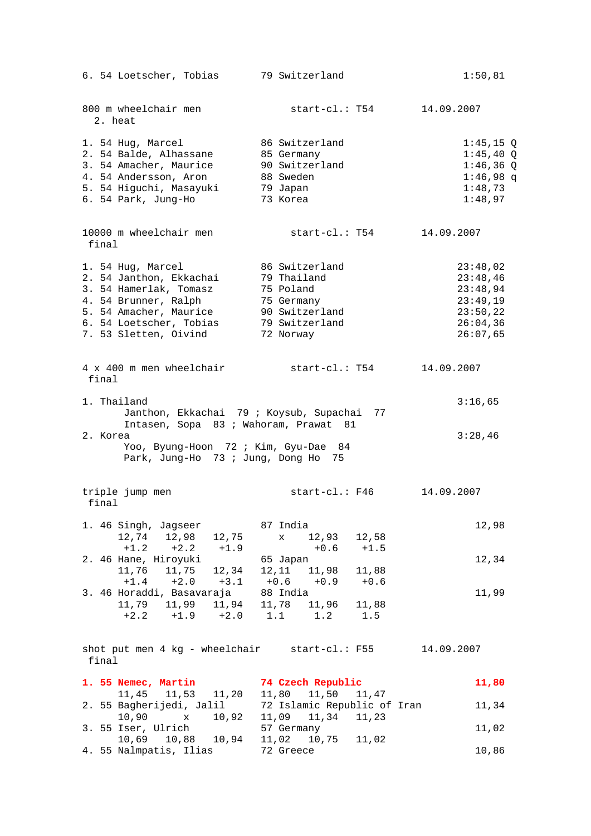| 6. 54 Loetscher, Tobias                                | 79 Switzerland                                   | 1:50,81     |
|--------------------------------------------------------|--------------------------------------------------|-------------|
| 800 m wheelchair men<br>2. heat                        | start-cl.: T54                                   | 14.09.2007  |
| 1. 54 Hug, Marcel                                      | 86 Switzerland                                   | $1:45,15$ Q |
| 2. 54 Balde, Alhassane                                 | 85 Germany                                       | $1:45,40$ Q |
| 3. 54 Amacher, Maurice                                 | 90 Switzerland                                   | $1:46,36$ Q |
| 4. 54 Andersson, Aron                                  | 88 Sweden                                        | $1:46,98$ q |
| 5. 54 Higuchi, Masayuki                                | 79 Japan<br>-                                    | 1:48,73     |
| 6. 54 Park, Jung-Ho                                    | 73 Korea                                         | 1:48,97     |
| 10000 m wheelchair men<br>final                        | start-cl.: T54                                   | 14.09.2007  |
| 1. 54 Hug, Marcel                                      | 86 Switzerland                                   | 23:48,02    |
| 2. 54 Janthon, Ekkachai                                | 79 Thailand                                      | 23:48,46    |
| 3. 54 Hamerlak, Tomasz                                 | 75 Poland                                        | 23:48,94    |
| 4. 54 Brunner, Ralph                                   | 75 Germany                                       | 23:49,19    |
| 5. 54 Amacher, Maurice                                 | 90 Switzerland                                   | 23:50,22    |
| 6. 54 Loetscher, Tobias                                | 79 Switzerland                                   | 26:04,36    |
| 7. 53 Sletten, Oivind                                  | 72 Norway                                        | 26:07,65    |
| 4 x 400 m men wheelchair<br>final                      | start-cl.: T54                                   | 14.09.2007  |
| 1. Thailand                                            |                                                  | 3:16,65     |
| Janthon, Ekkachai 79 ; Koysub, Supachai                | 77                                               |             |
| Intasen, Sopa 83 ; Wahoram, Prawat 81<br>2. Korea      |                                                  |             |
| Yoo, Byung-Hoon 72 ; Kim, Gyu-Dae 84                   |                                                  | 3:28,46     |
| Park, Jung-Ho 73 ; Jung, Dong Ho 75                    |                                                  |             |
| triple jump men<br>final                               | start-cl.: F46                                   | 14.09.2007  |
|                                                        |                                                  |             |
| 1. 46 Singh, Jagseer                                   | 87 India                                         | 12,98       |
| 12,74 12,98 12,75                                      | 12,93<br>12,58<br>$\mathbf x$                    |             |
| $+1.2$<br>$+2.2 +1.9$                                  | $+0.6$<br>$+1.5$                                 |             |
| 2. 46 Hane, Hiroyuki                                   | 65 Japan                                         | 12,34       |
| 11,75 12,34<br>11,76                                   | 12,11<br>11,98<br>11,88                          |             |
| $+1.4 +2.0$<br>$+3.1$<br>3. 46 Horaddi, Basavaraja     | $+0.6 +0.9$<br>$+0.6$                            |             |
|                                                        | 88 India                                         | 11,99       |
| $+1.9 +2.0$<br>$+2.2$                                  | 11,88<br>$1.1$ $1.2$<br>1.5                      |             |
|                                                        |                                                  |             |
| shot put men 4 kg - wheelchair start-cl.: F55<br>final |                                                  | 14.09.2007  |
| 1. 55 Nemec, Martin                                    | 74 Czech Republic                                | 11,80       |
| 11, 45 11, 53 11, 20<br>2. 55 Bagherijedi, Jalil       | 11,80 11,50 11,47<br>72 Islamic Republic of Iran | 11,34       |
|                                                        |                                                  |             |
| $10,90 \, x$<br>10,92<br>3. 55 Iser, Ulrich            | 11,09 11,34 11,23<br>57 Germany                  | 11,02       |
| 10,69 10,88<br>10,94                                   | 11,02<br>10,75<br>11,02                          |             |
| 4. 55 Nalmpatis, Ilias                                 | 72 Greece                                        | 10,86       |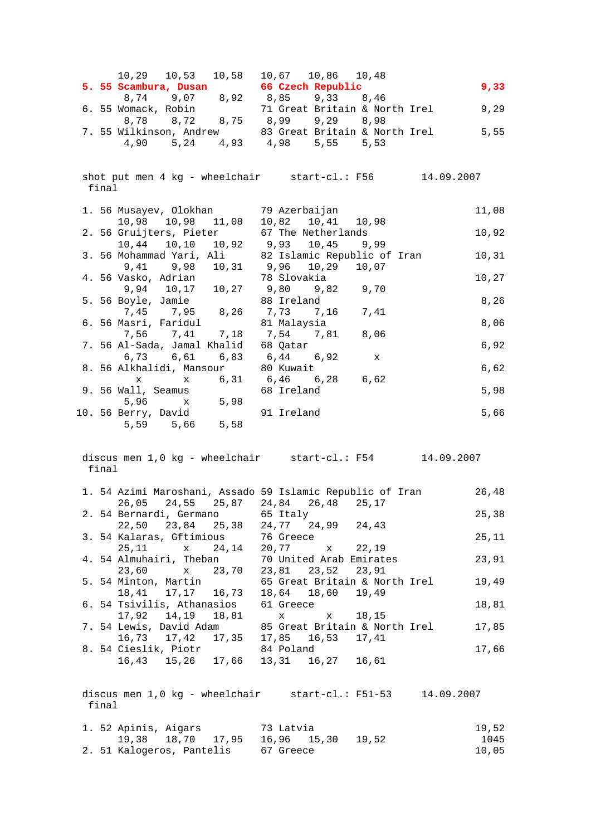| $10,29$ $10,53$ $10,58$ $10,67$ $10,86$ $10,48$                                                          |                                                               | 9,33          |
|----------------------------------------------------------------------------------------------------------|---------------------------------------------------------------|---------------|
| <b>5. 55 Scambura, Dusan</b> 66 Czech Republic<br>8,74 9,07 8,92 8,85 9,33 8,46                          |                                                               |               |
| 6. 55 Womack, Robin                                                                                      | 71 Great Britain & North Irel 9,29                            |               |
| 8,78 8,72 8,75 8,99 9,29 8,98                                                                            |                                                               |               |
| 4,90 5,24 4,93 4,98 5,55 5,53                                                                            | 7. 55 Wilkinson, Andrew 33 Great Britain & North Irel 5,55    |               |
|                                                                                                          |                                                               |               |
|                                                                                                          |                                                               |               |
|                                                                                                          | shot put men 4 kg - wheelchair start-cl.: F56 14.09.2007      |               |
| final                                                                                                    |                                                               |               |
| 1. 56 Musayev, Olokhan 39 Azerbaijan                                                                     |                                                               | 11,08         |
| 10,98  10,98  11,08  10,82  10,41  10,98                                                                 |                                                               |               |
| 2. 56 Gruijters, Pieter 67 The Netherlands                                                               |                                                               | 10,92         |
| $10,44 \qquad 10,10 \qquad 10,92 \qquad 9,93 \qquad 10,45 \qquad 9,99$                                   |                                                               |               |
|                                                                                                          | 3. 56 Mohammad Yari, Ali 82 Islamic Republic of Iran          | 10,31         |
| $9,41$ $9,98$ $10,31$ $9,96$ $10,29$ $10,07$                                                             |                                                               | 10,27         |
| 4. 56 Vasko, Adrian 10,27 3 Slovakia<br>9,94 10,17 10,27 9,80 9,82 9,70<br>5. 56 Boyle, Jamie 88 Ireland |                                                               |               |
| 5. 56 Boyle, Jamie                                                                                       |                                                               | 8,26          |
| $7,45$ 7,95 8,26 7,73 7,16 7,41                                                                          |                                                               |               |
| 6. 56 Masri, Faridul and 81 Malaysia<br>7,56 7,41 7,18 7,54 7,81 8,06                                    |                                                               | 8,06          |
| 7. 56 Al-Sada, Jamal Khalid 68 Qatar                                                                     |                                                               | 6,92          |
| $6,73$ $6,61$ $6,83$ $6,44$ $6,92$ x                                                                     |                                                               |               |
| 8. 56 Alkhalidi, Mansour 80 Kuwait                                                                       |                                                               | 6,62          |
|                                                                                                          | $x$ $x$ 6,31 6,46 6,28 6,62                                   |               |
| 9. 56 Wall, Seamus                                                                                       | 68 Ireland                                                    | 5,98          |
| 5. 53 mail, 53 mail<br>5,96 x 5,98<br>10. 56 Berry, David 91 Ireland                                     |                                                               | 5,66          |
| 5,59 5,66 5,58                                                                                           |                                                               |               |
|                                                                                                          |                                                               |               |
|                                                                                                          |                                                               |               |
| final                                                                                                    | discus men 1,0 kg - wheelchair start-cl.: F54 14.09.2007      |               |
|                                                                                                          |                                                               |               |
|                                                                                                          | 1. 54 Azimi Maroshani, Assado 59 Islamic Republic of Iran     | 26,48         |
| 26,05 24,55 25,87 24,84 26,48 25,17                                                                      |                                                               |               |
| 2. 54 Bernardi, Germano<br>22,50 23,84 25,38 24,77 24,99 24,43                                           | 65 Italy                                                      | 25,38         |
| 3. 54 Kalaras, Gftimious                                                                                 | 76 Greece                                                     | 25,11         |
| 25,11 x 24,14                                                                                            | 20,77 x 22,19                                                 |               |
| 4. 54 Almuhairi, Theban                                                                                  | 70 United Arab Emirates                                       | 23,91         |
| x 23,70<br>23,60                                                                                         | 23,81 23,52 23,91                                             |               |
| 5. 54 Minton, Martin<br>18,41 17,17 16,73 18,64 18,60 19,49                                              | 65 Great Britain & North Irel                                 | 19,49         |
| 6. 54 Tsivilis, Athanasios                                                                               | 61 Greece                                                     | 18,81         |
| 17,92  14,19  18,81                                                                                      | $\mathbf x$<br>x 18,15                                        |               |
| 7. 54 Lewis, David Adam                                                                                  | 85 Great Britain & North Irel                                 | 17,85         |
| 16,73 17,42 17,35 17,85 16,53 17,41                                                                      |                                                               |               |
| 8. 54 Cieslik, Piotr                                                                                     | 84 Poland                                                     | 17,66         |
|                                                                                                          |                                                               |               |
|                                                                                                          | 16,43 15,26 17,66 13,31 16,27 16,61                           |               |
|                                                                                                          |                                                               |               |
|                                                                                                          | discus men $1,0$ kg - wheelchair start-cl.: F51-53 14.09.2007 |               |
| final                                                                                                    |                                                               |               |
|                                                                                                          |                                                               |               |
| 1. 52 Apinis, Aigars 33 Latvia<br>19,38 18,70 17,95 16,96 15,30 19,52                                    |                                                               | 19,52<br>1045 |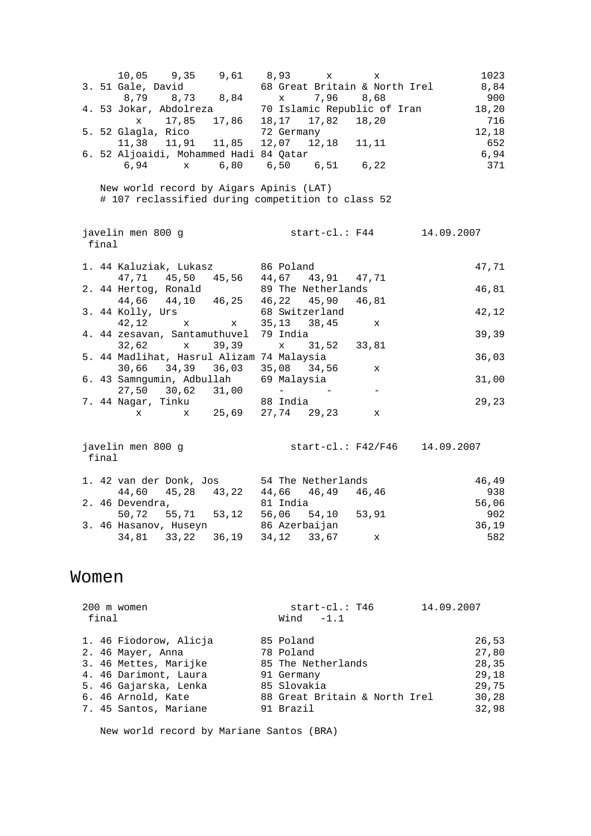10,05 9,35 9,61 8,93 x x 1023<br>Gale, David 68 Great Britain & North Irel 8,84 3. 51 Gale, David 68 Great Britain & North Irel 8,84 8,79 8,73 8,84 x 7,96 8,68 900 4. 53 Jokar, Abdolreza 70 Islamic Republic of Iran 18,20 x 17,85 17,86 18,17 17,82 18,20 716 5. 52 Glagla, Rico 72 Germany 12,18 11,38 11,91 11,85 12,07 12,18 11,11 652 6. 52 Aljoaidi, Mohammed Hadi 84 Qatar 6,94 6,94 x 6,80 6,50 6,51 6,22 371 New world record by Aigars Apinis (LAT) # 107 reclassified during competition to class 52 javelin men 800 g start-cl.: F44 14.09.2007 final 1. 44 Kaluziak, Lukasz 86 Poland 47,71 47,71 45,50 45,56 44,67 43,91 47,71 2. 44 Hertog, Ronald 89 The Netherlands 16,81 44,66 44,10 46,25 46,22 45,90 46,81 3. 44 Kolly, Urs 68 Switzerland 42,12 42,12 x x 35,13 38,45 x 4. 44 zesavan, Santamuthuvel 79 India 39,39 32,62 x 39,39 x 31,52 33,81 5. 44 Madlihat, Hasrul Alizam 74 Malaysia 36,03 30,66 34,39 36,03 35,08 34,56 x 6. 43 Samngumin, Adbullah 69 Malaysia 31,00  $27,50$   $30,62$   $31,00$  - - - 7. 44 Nagar, Tinku 88 India 29,23 x x 25,69 27,74 29,23 x javelin men 800 g start-cl.: F42/F46 14.09.2007 final 1. 42 van der Donk, Jos 54 The Netherlands 46,49

|  |                 | 1. 42 van der Donk, Jos |               | 54 ine Netherlands                  |    | 46,49 |
|--|-----------------|-------------------------|---------------|-------------------------------------|----|-------|
|  |                 |                         |               | 44,60 45,28 43,22 44,66 46,49 46,46 |    | 938   |
|  | 2. 46 Devendra, |                         | 81 India      |                                     |    | 56,06 |
|  |                 |                         |               | 50,72 55,71 53,12 56,06 54,10 53,91 |    | 902   |
|  |                 | 3. 46 Hasanov, Huseyn   | 86 Azerbaijan |                                     |    | 36.19 |
|  |                 |                         |               |                                     | X. | 582   |

### Women

 200 m women start-cl.: T46 14.09.2007 final Wind -1.1 1. 46 Fiodorow, Alicja 85 Poland 26,53 2. 46 Mayer, Anna 78 Poland 27,80 3. 46 Mettes, Marijke 85 The Netherlands 28,35 4. 46 Darimont, Laura 91 Germany 29,18 5. 46 Gajarska, Lenka 85 Slovakia 29,75 6. 46 Arnold, Kate 88 Great Britain & North Irel 30,28 7. 45 Santos, Mariane 91 Brazil 32,98

New world record by Mariane Santos (BRA)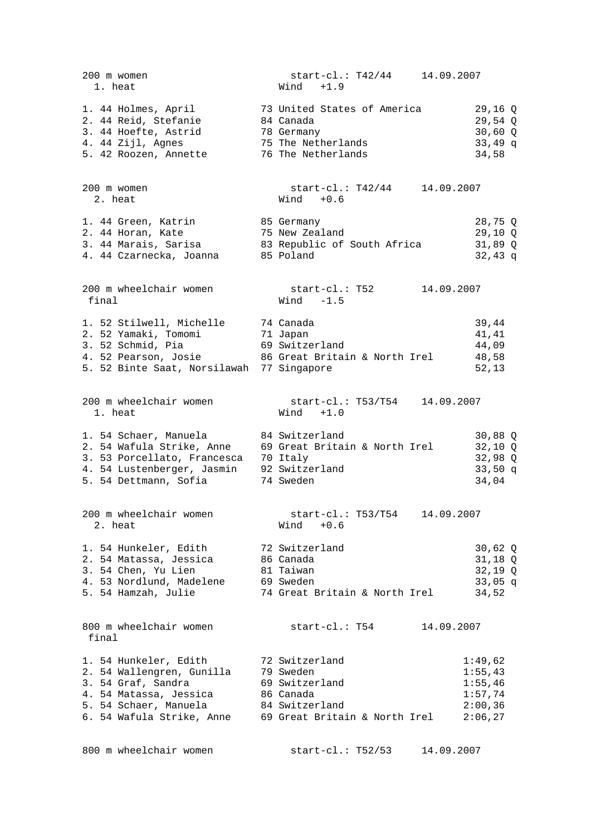| 200 m women<br>1. heat                                                                                                                                           | start-cl.: T42/44 14.09.2007<br>$Wind +1.9$                                                                                             |                                                                |
|------------------------------------------------------------------------------------------------------------------------------------------------------------------|-----------------------------------------------------------------------------------------------------------------------------------------|----------------------------------------------------------------|
| 1. 44 Holmes, April 373 United States of America<br>2. 44 Reid, Stefanie<br>3. 44 Hoefte, Astrid<br>4. 44 Zijl, Agnes<br>5. 42 Roozen, Annette                   | 84 Canada<br>78 Germany<br>75 The Netherlands<br>76 The Netherlands                                                                     | 29,16 Q<br>$29,54$ Q<br>$30,60$ Q<br>$33,49$ q<br>34,58        |
| 200 m women<br>2. heat                                                                                                                                           | $start-c1$ .: T $42/44$<br>14.09.2007<br>$Wind + 0.6$                                                                                   |                                                                |
| 1. 44 Green, Katrin<br>2. 44 Horan, Kate<br>4. 44 Czarnecka, Joanna 85 Poland                                                                                    | 85 Germany<br>75 New Zealand<br>3. 44 Marais, Sarisa 63 Republic of South Africa                                                        | 28,75 Q<br>$29,10$ Q<br>$31,89$ Q<br>$32,43$ q                 |
| 200 m wheelchair women<br>final                                                                                                                                  | start-cl.: T52<br>14.09.2007<br>Wind $-1.5$                                                                                             |                                                                |
| 1. 52 Stilwell, Michelle 74 Canada<br>2. 52 Yamaki, Tomomi<br>3. 52 Schmid, Pia<br>5. 52 Binte Saat, Norsilawah 77 Singapore                                     | 71 Japan<br>69 Switzerland<br>4. 52 Pearson, Josie 86 Great Britain & North Irel                                                        | 39,44<br>41,41<br>44,09<br>48,58<br>52, 13                     |
| 200 m wheelchair women<br>1. heat                                                                                                                                | $start-c1.: T53/T54$<br>14.09.2007<br>$Wind +1.0$                                                                                       |                                                                |
| 1. 54 Schaer, Manuela<br>2. 54 Wafula Strike, Anne<br>3. 53 Porcellato, Francesca 70 Italy<br>4. 54 Lustenberger, Jasmin 92 Switzerland<br>5. 54 Dettmann, Sofia | 84 Switzerland<br>69 Great Britain & North Irel<br>74 Sweden                                                                            | $30,88$ Q<br>$32,10$ Q<br>$32,98$ Q<br>$33,50$ q<br>34,04      |
| 200 m wheelchair women<br>2. heat                                                                                                                                | start-cl.: T53/T54 14.09.2007<br>$Wind + 0.6$                                                                                           |                                                                |
| 1. 54 Hunkeler, Edith 32 Switzerland<br>2. 54 Matassa, Jessica 66 Canada<br>3. 54 Chen, Yu Lien<br>4. 53 Nordlund, Madelene<br>5. 54 Hamzah, Julie               | 81 Taiwan<br>69 Sweden<br>74 Great Britain & North Irel                                                                                 | $30,62$ Q<br>31,18 Q<br>$32,19$ Q<br>$33,05$ q<br>34,52        |
| 800 m wheelchair women<br>final                                                                                                                                  | $start-c1$ .: T54<br>14.09.2007                                                                                                         |                                                                |
| 1. 54 Hunkeler, Edith<br>2. 54 Wallengren, Gunilla<br>3. 54 Graf, Sandra<br>4. 54 Matassa, Jessica<br>5. 54 Schaer, Manuela                                      | 72 Switzerland<br>79 Sweden<br>69 Switzerland<br>86 Canada<br>84 Switzerland<br>6. 54 Wafula Strike, Anne 69 Great Britain & North Irel | 1:49,62<br>1:55,43<br>1:55,46<br>1:57,74<br>2:00,36<br>2:06,27 |

800 m wheelchair women start-cl.: T52/53 14.09.2007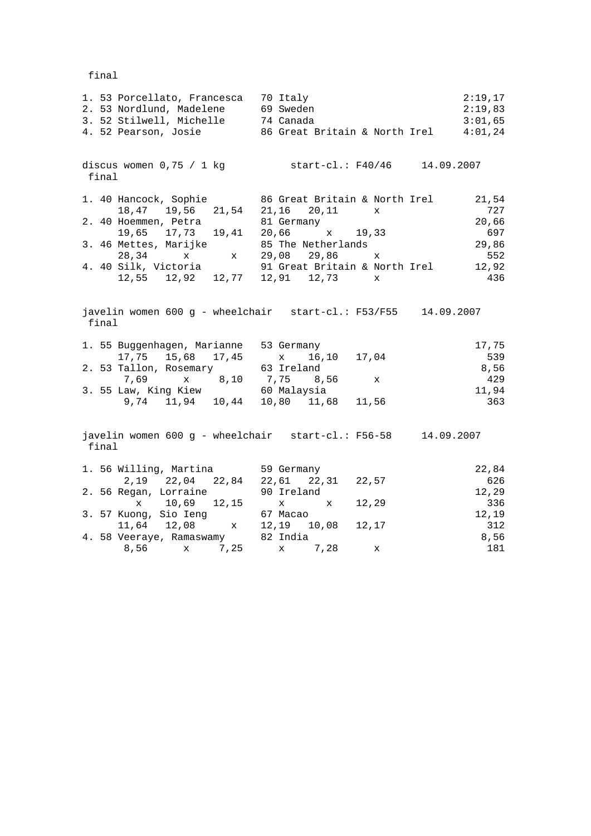final

| 1. 53 Porcellato, Francesca 70 Italy<br>2. 53 Nordlund, Madelene 69 Sweden<br>3. 52 Stilwell, Michelle<br>3. 52 Stilwell, Michelle 74 Canada 3:01,65<br>4. 52 Pearson, Josie 86 Great Britain & North Irel 4:01,24 |                                                        | 2:19,17<br>2:19,83           |
|--------------------------------------------------------------------------------------------------------------------------------------------------------------------------------------------------------------------|--------------------------------------------------------|------------------------------|
| discus women $0,75$ / 1 kg<br>final                                                                                                                                                                                | start-cl.: F40/46 14.09.2007                           |                              |
| 1. 40 Hancock, Sophie 86 Great Britain & North Irel<br>18,47 19,56 21,54 21,16 20,11<br>2. 40 Hoemmen, Petra                                                                                                       | X<br>81 Germany                                        | 21,54<br>727<br>20,66<br>697 |
| 19,65 17,73 19,41 20,66 x 19,33<br>3.46 Mettes, Marijke 85 The Netherlands<br>$28,34$ x $x$ 29,08 29,86                                                                                                            | $\mathbf{x}$                                           | 29,86<br>552                 |
| 4. 40 Silk, Victoria 91 Great Britain & North Irel 12,92<br>$12,55$ $12,92$ $12,77$ $12,91$ $12,73$ x                                                                                                              |                                                        | 436                          |
| javelin women 600 g - wheelchair start-cl.: F53/F55 14.09.2007<br>final                                                                                                                                            |                                                        |                              |
| 1. 55 Buggenhagen, Marianne 53 Germany                                                                                                                                                                             | 16,10 17,04                                            | 17,75<br>539                 |
| 17,75 15,68 17,45 x 16,<br>2.53 Tallon, Rosemary 63 Ireland                                                                                                                                                        |                                                        | 8,56<br>429                  |
| 7,69 x 8,10 7,75 8,56<br>3. 55 Law, King Kiew 60 Malaysia                                                                                                                                                          | $\mathbf{x}$                                           | 11,94                        |
|                                                                                                                                                                                                                    | 9,74 11,94 10,44 10,80 11,68 11,56                     | 363                          |
| javelin women 600 g - wheelchair start-cl.: F56-58 14.09.2007<br>final                                                                                                                                             |                                                        |                              |
| 1. 56 Willing, Martina 59 Germany                                                                                                                                                                                  |                                                        | 22,84<br>626                 |
| 2. 56 Regan, Lorraine                                                                                                                                                                                              | 2, 19 22, 04 22, 84 22, 61 22, 31 22, 57<br>90 Ireland | 12,29                        |
| x 10,69 12,15                                                                                                                                                                                                      | x x 12,29                                              | 336                          |
| 3. 57 Kuong, Sio Ieng 67 Macao                                                                                                                                                                                     |                                                        | 12,19                        |
| 11,64 12,08 x 12,19 10,08 12,17                                                                                                                                                                                    |                                                        | 312                          |
| 4. 58 Veeraye, Ramaswamy 82 India                                                                                                                                                                                  |                                                        | 8,56                         |
| 8,56 x 7,25                                                                                                                                                                                                        | x 7,28<br>X                                            | 181                          |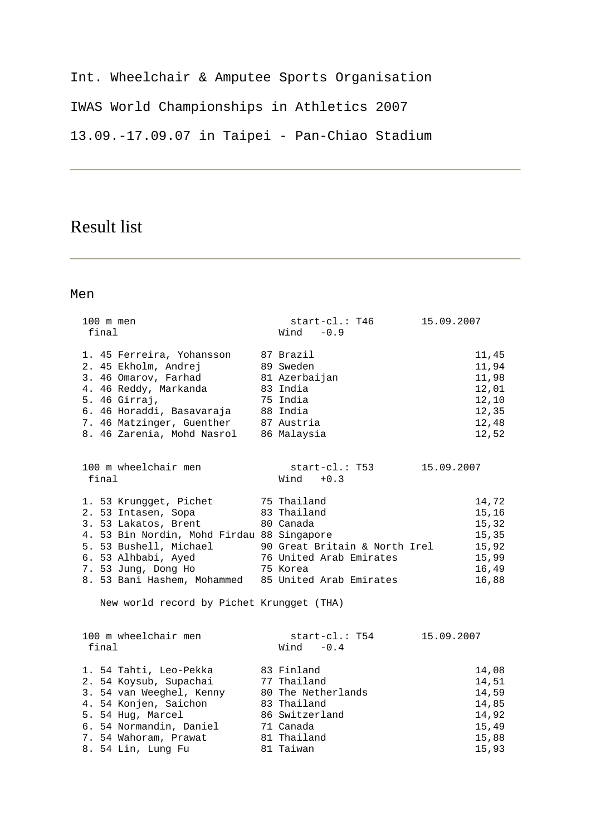Int. Wheelchair & Amputee Sports Organisation IWAS World Championships in Athletics 2007 13.09.-17.09.07 in Taipei - Pan-Chiao Stadium

# Result list

| $100$ m men<br>final                                                                                                                                                                                                                                                             | start-cl.: T46<br>Wind $-0.9$                                                                                             | 15.09.2007                                                           |
|----------------------------------------------------------------------------------------------------------------------------------------------------------------------------------------------------------------------------------------------------------------------------------|---------------------------------------------------------------------------------------------------------------------------|----------------------------------------------------------------------|
| 1. 45 Ferreira, Yohansson<br>2. 45 Ekholm, Andrej<br>3. 46 Omarov, Farhad<br>4. 46 Reddy, Markanda<br>5. 46 Girraj,<br>6. 46 Horaddi, Basavaraja<br>7. 46 Matzinger, Guenther<br>8. 46 Zarenia, Mohd Nasrol                                                                      | 87 Brazil<br>89 Sweden<br>81 Azerbaijan<br>83 India<br>75 India<br>88 India<br>87 Austria<br>86 Malaysia                  | 11,45<br>11,94<br>11,98<br>12,01<br>12,10<br>12,35<br>12,48<br>12,52 |
| 100 m wheelchair men<br>final                                                                                                                                                                                                                                                    | start-cl.: T53<br>$Wind + 0.3$                                                                                            | 15.09.2007                                                           |
| 1. 53 Krungget, Pichet<br>2. 53 Intasen, Sopa<br>3. 53 Lakatos, Brent<br>4. 53 Bin Nordin, Mohd Firdau 88 Singapore<br>5. 53 Bushell, Michael 90 Great Britain & North Irel<br>6. 53 Alhbabi, Ayed<br>7. 53 Jung, Dong Ho<br>8. 53 Bani Hashem, Mohammed 85 United Arab Emirates | 75 Thailand<br>83 Thailand<br>80 Canada<br>76 United Arab Emirates<br>75 Korea                                            | 14,72<br>15,16<br>15,32<br>15,35<br>15,92<br>15,99<br>16,49<br>16,88 |
| New world record by Pichet Krungget (THA)<br>100 m wheelchair men<br>final                                                                                                                                                                                                       | start-cl.: T54<br>Wind $-0.4$                                                                                             | 15.09.2007                                                           |
| 1. 54 Tahti, Leo-Pekka<br>2. 54 Koysub, Supachai<br>3. 54 van Weeghel, Kenny<br>4. 54 Konjen, Saichon<br>5. 54 Hug, Marcel<br>6. 54 Normandin, Daniel<br>7. 54 Wahoram, Prawat<br>8. 54 Lin, Lung Fu                                                                             | 83 Finland<br>77 Thailand<br>80 The Netherlands<br>83 Thailand<br>86 Switzerland<br>71 Canada<br>81 Thailand<br>81 Taiwan | 14,08<br>14,51<br>14,59<br>14,85<br>14,92<br>15,49<br>15,88<br>15,93 |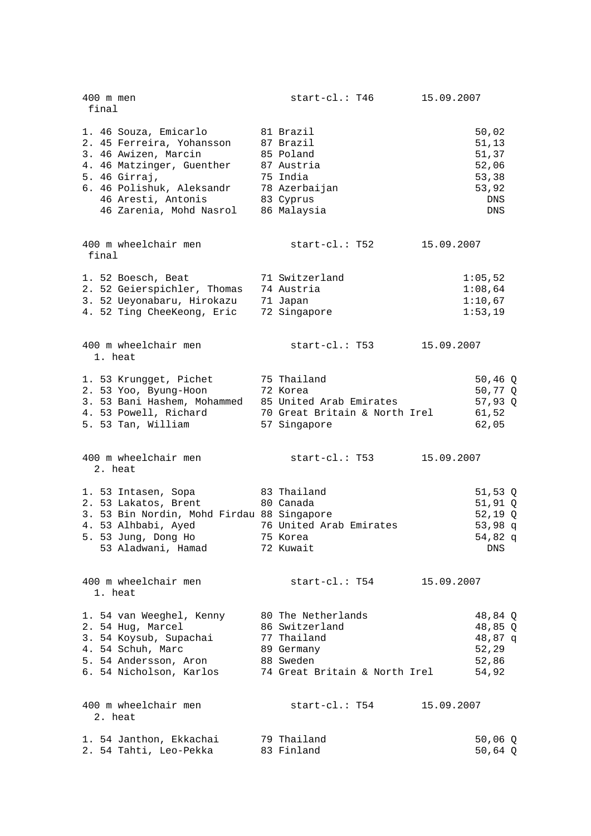| 400 m men<br>final                                                                                                                                                                                     | start-cl.: T46                                                                                                  | 15.09.2007 |                                                                          |
|--------------------------------------------------------------------------------------------------------------------------------------------------------------------------------------------------------|-----------------------------------------------------------------------------------------------------------------|------------|--------------------------------------------------------------------------|
| 1. 46 Souza, Emicarlo<br>2. 45 Ferreira, Yohansson<br>3. 46 Awizen, Marcin<br>4. 46 Matzinger, Guenther<br>5. 46 Girraj,<br>6. 46 Polishuk, Aleksandr<br>46 Aresti, Antonis<br>46 Zarenia, Mohd Nasrol | 81 Brazil<br>87 Brazil<br>85 Poland<br>87 Austria<br>75 India<br>78 Azerbaijan<br>83 Cyprus<br>86 Malaysia      |            | 50,02<br>51, 13<br>51,37<br>52,06<br>53,38<br>53,92<br>DNS<br><b>DNS</b> |
| 400 m wheelchair men<br>final                                                                                                                                                                          | start-cl.: T52                                                                                                  | 15.09.2007 |                                                                          |
| 1. 52 Boesch, Beat<br>2. 52 Geierspichler, Thomas<br>3. 52 Ueyonabaru, Hirokazu<br>4. 52 Ting CheeKeong, Eric                                                                                          | 71 Switzerland<br>74 Austria<br>71 Japan<br>72 Singapore                                                        |            | 1:05,52<br>1:08,64<br>1:10,67<br>1:53,19                                 |
| 400 m wheelchair men<br>1. heat                                                                                                                                                                        | $start\text{-}cl.$ : T53                                                                                        | 15.09.2007 |                                                                          |
| 1. 53 Krungget, Pichet<br>2. 53 Yoo, Byung-Hoon<br>3. 53 Bani Hashem, Mohammed<br>4. 53 Powell, Richard<br>5. 53 Tan, William                                                                          | 75 Thailand<br>72 Korea<br>85 United Arab Emirates<br>70 Great Britain & North Irel<br>57 Singapore             |            | 50,46 $Q$<br>50,77 Q<br>57,93 Q<br>61,52<br>62,05                        |
| 400 m wheelchair men<br>2. heat                                                                                                                                                                        | start-cl.: T53                                                                                                  | 15.09.2007 |                                                                          |
| 1. 53 Intasen, Sopa<br>2. 53 Lakatos, Brent<br>3. 53 Bin Nordin, Mohd Firdau 88 Singapore<br>4. 53 Alhbabi, Ayed<br>5. 53 Jung, Dong Ho<br>53 Aladwani, Hamad                                          | 83 Thailand<br>80 Canada<br>76 United Arab Emirates<br>75 Korea<br>72 Kuwait                                    |            | 51,53 $Q$<br>$51,91$ Q<br>$52,19$ Q<br>$53,98$ q<br>54,82 q<br>DNS       |
| 400 m wheelchair men<br>1. heat                                                                                                                                                                        | start-cl.: T54                                                                                                  | 15.09.2007 |                                                                          |
| 1. 54 van Weeghel, Kenny<br>2. 54 Hug, Marcel<br>3. 54 Koysub, Supachai<br>4. 54 Schuh, Marc<br>5. 54 Andersson, Aron<br>6. 54 Nicholson, Karlos                                                       | 80 The Netherlands<br>86 Switzerland<br>77 Thailand<br>89 Germany<br>88 Sweden<br>74 Great Britain & North Irel |            | 48,84 Q<br>48,85 Q<br>48,87 q<br>52,29<br>52,86<br>54,92                 |
| 400 m wheelchair men<br>2. heat                                                                                                                                                                        | start-cl.: T54                                                                                                  | 15.09.2007 |                                                                          |
| 1. 54 Janthon, Ekkachai<br>2. 54 Tahti, Leo-Pekka                                                                                                                                                      | 79 Thailand<br>83 Finland                                                                                       |            | $50,06$ Q<br>50,64 Q                                                     |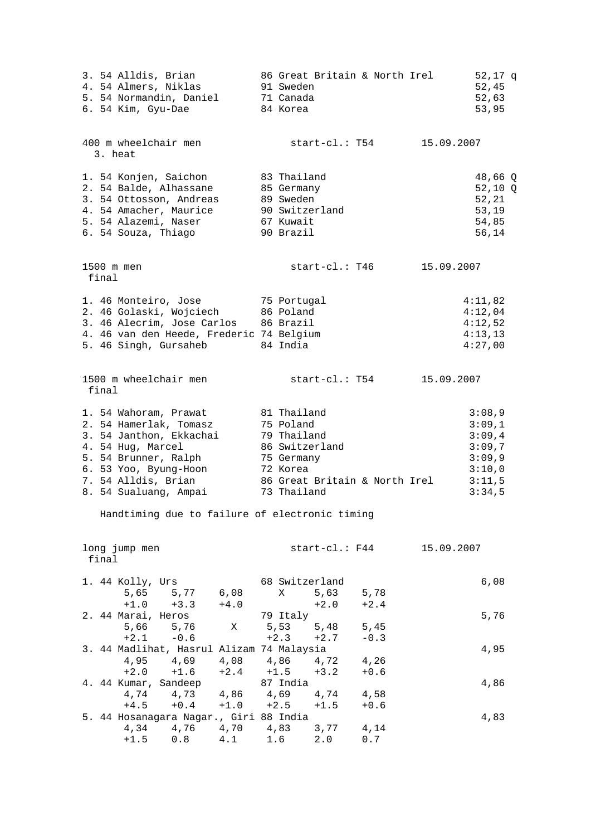| 3. 54 Alldis, Brian<br>4. 54 Almers, Niklas<br>5. 54 Normandin, Daniel<br>6. 54 Kim, Gyu-Dae                                                                                                     | 86 Great Britain & North Irel<br>91 Sweden<br>71 Canada<br>84 Korea                                                                 | 52,17 q<br>52,45<br>52,63<br>53,95                                           |
|--------------------------------------------------------------------------------------------------------------------------------------------------------------------------------------------------|-------------------------------------------------------------------------------------------------------------------------------------|------------------------------------------------------------------------------|
| 400 m wheelchair men<br>3. heat                                                                                                                                                                  | start-cl.: T54 15.09.2007                                                                                                           |                                                                              |
| 1. 54 Konjen, Saichon<br>2. 54 Balde, Alhassane<br>3. 54 Ottosson, Andreas<br>4. 54 Amacher, Maurice<br>5. 54 Alazemi, Naser<br>6. 54 Souza, Thiago                                              | 83 Thailand<br>85 Germany<br>89 Sweden<br>90 Switzerland<br>67 Kuwait<br>90 Brazil                                                  | 48,66 Q<br>$52,10$ Q<br>52,21<br>53,19<br>54,85<br>56,14                     |
| 1500 m men<br>final                                                                                                                                                                              | start-cl.: T46                                                                                                                      | 15.09.2007                                                                   |
| 1. 46 Monteiro, Jose<br>2. 46 Golaski, Wojciech<br>3. 46 Alecrim, Jose Carlos 86 Brazil<br>4. 46 van den Heede, Frederic 74 Belgium<br>5. 46 Singh, Gursaheb                                     | 75 Portugal<br>86 Poland<br>84 India                                                                                                | 4:11,82<br>4:12,04<br>4:12,52<br>4:13,13<br>4:27,00                          |
| 1500 m wheelchair men<br>final                                                                                                                                                                   | start-cl.: T54                                                                                                                      | 15.09.2007                                                                   |
| 1. 54 Wahoram, Prawat<br>2. 54 Hamerlak, Tomasz<br>3. 54 Janthon, Ekkachai<br>4. 54 Hug, Marcel<br>5. 54 Brunner, Ralph<br>6. 53 Yoo, Byung-Hoon<br>7. 54 Alldis, Brian<br>8. 54 Sualuang, Ampai | 81 Thailand<br>75 Poland<br>79 Thailand<br>86 Switzerland<br>75 Germany<br>72 Korea<br>86 Great Britain & North Irel<br>73 Thailand | 3:08,9<br>3:09,1<br>3:09,4<br>3:09,7<br>3:09,9<br>3:10,0<br>3:11,5<br>3:34,5 |
| Handtiming due to failure of electronic timing                                                                                                                                                   |                                                                                                                                     |                                                                              |
| long jump men<br>final                                                                                                                                                                           | $start\text{-}cl.:$ F44                                                                                                             | 15.09.2007                                                                   |
| 1. 44 Kolly, Urs<br>5,65<br>5,77 6,08<br>$+3.3$<br>$+1.0$<br>$+4.0$                                                                                                                              | 68 Switzerland<br>5,63<br>Χ<br>5,78<br>$+2.0$<br>$+2.4$                                                                             | 6,08                                                                         |
| 2. 44 Marai, Heros<br>5,66<br>5,76<br>Χ<br>$+2.1$<br>$-0.6$                                                                                                                                      | 79 Italy<br>5,53<br>$5,48$<br>5,45<br>$+2.3$<br>$+2.7$<br>$-0.3$                                                                    | 5,76                                                                         |
| 3. 44 Madlihat, Hasrul Alizam 74 Malaysia<br>4,95<br>4,69<br>$+2.0$<br>$+1.6$                                                                                                                    | 4,08 4,86 4,72<br>4,26<br>$+2.4 +1.5$<br>$+3.2$<br>$+0.6$                                                                           | 4,95                                                                         |
| 4. 44 Kumar, Sandeep<br>4,74 4,73 4,86 4,69<br>$+4.5$<br>$+0.4$<br>$+1.0$                                                                                                                        | 87 India<br>4,74<br>4,58<br>$+2.5$<br>$+1.5$<br>$+0.6$                                                                              | 4,86                                                                         |
| 5. 44 Hosanagara Nagar., Giri 88 India<br>4,34<br>4,76<br>4,70 4,83<br>$+1.5$<br>0.8<br>4.1                                                                                                      | 3,77<br>4,14<br>1.6<br>2.0<br>0.7                                                                                                   | 4,83                                                                         |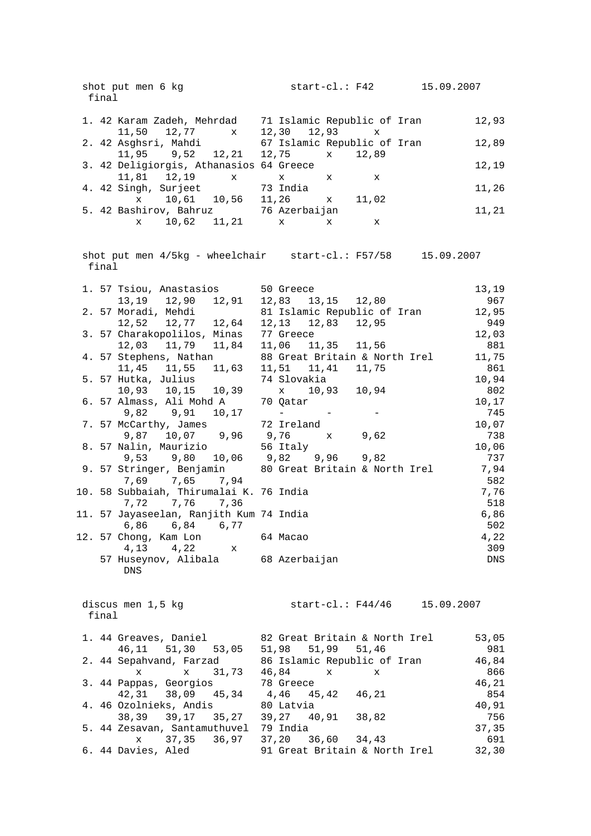| shot put men 6 kg<br>final                                               | 15.09.2007<br>$start-c1$ .: $F42$                                |              |
|--------------------------------------------------------------------------|------------------------------------------------------------------|--------------|
| 1. 42 Karam Zadeh, Mehrdad                                               | 71 Islamic Republic of Iran                                      | 12,93        |
| 11,50<br>12,77 x<br>2. 42 Asghsri, Mahdi                                 | 12,30<br>$12,93 \times$<br>67 Islamic Republic of Iran           | 12,89        |
| $11,95$ $9,52$ $12,21$<br>3. 42 Deligiorgis, Athanasios 64 Greece        | 12,75<br>12,89<br>$\mathbf{x}$                                   | 12,19        |
| $11,81$ $12,19$ x<br>4. 42 Singh, Surjeet<br>x 10,61 10,56 11,26 x       | $\mathbf x$<br>X<br>x<br>73 India<br>11,02                       | 11,26        |
| 5. 42 Bashirov, Bahruz 36 Azerbaijan<br>$10,62$ $11,21$ x<br>$\mathbf x$ | X<br>X                                                           | 11,21        |
|                                                                          |                                                                  |              |
| final                                                                    | shot put men $4/5kg$ - wheelchair start-cl.: $F57/58$ 15.09.2007 |              |
| 1. 57 Tsiou, Anastasios<br>13,19 12,90 12,91                             | 50 Greece<br>12,83  13,15  12,80                                 | 13,19<br>967 |
| 2. 57 Moradi, Mehdi                                                      | 81 Islamic Republic of Iran                                      | 12,95        |
| 12,52 12,77 12,64                                                        | 12, 13 12, 83 12, 95                                             | 949          |
| 3. 57 Charakopolilos, Minas                                              | 77 Greece                                                        | 12,03        |
| 12,03 11,79 11,84<br>4. 57 Stephens, Nathan                              | 11,06 11,35 11,56<br>88 Great Britain & North Irel               | 881<br>11,75 |
| 11,45 11,55 11,63                                                        | 11,51 11,41 11,75                                                | 861          |
| 5. 57 Hutka, Julius                                                      | 74 Slovakia                                                      | 10,94        |
| 10,93  10,15  10,39                                                      | x 10,93 10,94                                                    | 802          |
| 6. 57 Almass, Ali Mohd A                                                 | 70 Qatar                                                         | 10,17        |
| 9,82 9,91 10,17                                                          | and the contract of the state of                                 | 745          |
| 7. 57 McCarthy, James                                                    | 72 Ireland                                                       | 10,07        |
| 9,87 10,07 9,96 9,76<br>8. 57 Nalin, Maurizio                            | 9,62<br>$\mathbf{x}$<br>56 Italy                                 | 738<br>10,06 |
| 9,53                                                                     | $9,80$ 10,06 $9,82$ 9,96 9,82                                    | 737          |
| 9. 57 Stringer, Benjamin<br>7,65 7,94<br>7,69                            | 80 Great Britain & North Irel                                    | 7,94<br>582  |
| 10. 58 Subbaiah, Thirumalai K. 76 India<br>7,76 7,36<br>7,72             |                                                                  | 7,76<br>518  |
| 11. 57 Jayaseelan, Ranjith Kum 74 India<br>6,86 6,84 6,77                |                                                                  | 6,86<br>502  |
| 12. 57 Chong, Kam Lon<br>4,13<br>4,22<br>$\mathbf{x}$                    | 64 Macao                                                         | 4,22<br>309  |
| 57 Huseynov, Alibala<br><b>DNS</b>                                       | 68 Azerbaijan                                                    | DNS          |
| discus men 1,5 kg<br>final                                               | start-cl.: F44/46 15.09.2007                                     |              |
| 1. 44 Greaves, Daniel<br>46, 11 51, 30<br>53,05                          | 82 Great Britain & North Irel<br>51,98 51,99 51,46               | 53,05<br>981 |
| 2. 44 Sepahvand, Farzad                                                  | 86 Islamic Republic of Iran                                      | 46,84        |
| 31,73<br>x<br>$\mathbf x$                                                | 46,84<br>X<br>X                                                  | 866          |
| 3. 44 Pappas, Georgios                                                   | 78 Greece                                                        | 46,21        |
| 42,31 38,09 45,34<br>4. 46 Ozolnieks, Andis                              | 4,46 45,42<br>46,21<br>80 Latvia                                 | 854<br>40,91 |
| 38,39 39,17<br>35,27                                                     | 39,27 40,91<br>38,82                                             | 756          |
| 5. 44 Zesavan, Santamuthuvel                                             | 79 India                                                         | 37,35        |
| 37,35<br>36,97<br>X                                                      | 37,20 36,60<br>34,43                                             | 691          |
| 6. 44 Davies, Aled                                                       | 91 Great Britain & North Irel                                    | 32,30        |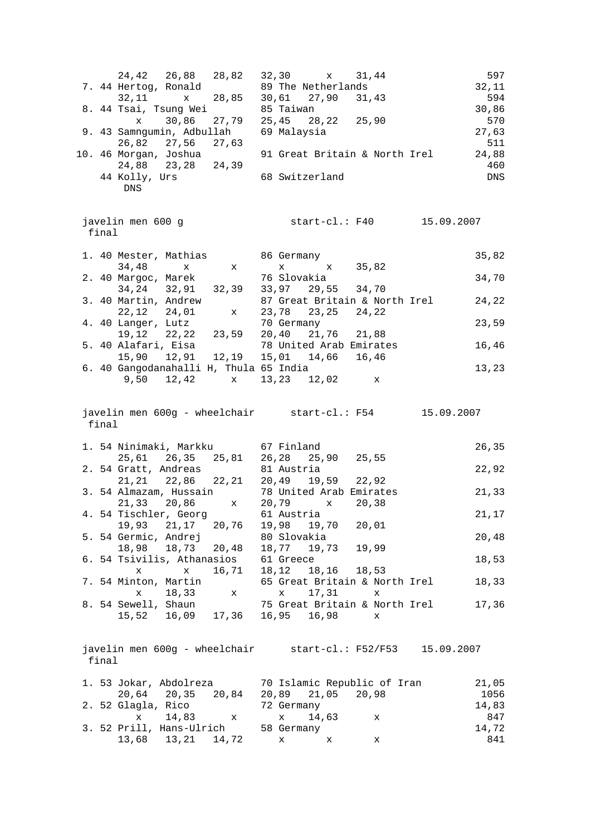|       | 24,42 26,88 28,82<br>7. 44 Hertog, Ronald                       | 32,30<br>x 31,44<br>89 The Netherlands                      | 597<br>32,11      |
|-------|-----------------------------------------------------------------|-------------------------------------------------------------|-------------------|
|       | x 28,85<br>32,11<br>8. 44 Tsai, Tsung Wei                       | 30,61 27,90 31,43<br>85 Taiwan                              | 594<br>30,86      |
|       | 30,86 27,79<br>$\mathbf x$                                      | 25,45 28,22 25,90                                           | 570               |
|       | 9. 43 Samngumin, Adbullah<br>26,82 27,56 27,63                  | 69 Malaysia                                                 | 27,63<br>511      |
|       | 10. 46 Morgan, Joshua                                           | 91 Great Britain & North Irel                               | 24,88             |
|       | 24,88 23,28 24,39<br>44 Kolly, Urs<br>${\rm DNS}$               | 68 Switzerland                                              | 460<br><b>DNS</b> |
| final | javelin men 600 g                                               |                                                             |                   |
|       | 1. 40 Mester, Mathias<br>34,48<br>$\mathbf x$ $\mathbf x$       | 86 Germany<br>x 35,82<br>$\mathbf X$                        | 35,82             |
|       | 2. 40 Margoc, Marek<br>34, 24 32, 91 32, 39                     | 76 Slovakia<br>33,97 29,55 34,70                            | 34,70             |
|       | 3. 40 Martin, Andrew<br>22, 12 24, 01<br>$\mathbf x$            | 87 Great Britain & North Irel<br>23,78 23,25 24,22          | 24,22             |
|       | 4. 40 Langer, Lutz<br>$19, 12$ $22, 22$ $23, 59$                | 70 Germany<br>20,40 21,76 21,88                             | 23,59             |
|       | 5. 40 Alafari, Eisa<br>15,90  12,91  12,19  15,01  14,66  16,46 | 78 United Arab Emirates                                     | 16,46             |
|       | 6. 40 Gangodanahalli H, Thula 65 India<br>$9,50$ $12,42$ x      | 13,23 12,02<br>X                                            | 13,23             |
| final |                                                                 | javelin men 600g - wheelchair start-cl.: F54 15.09.2007     |                   |
|       | 1. 54 Ninimaki, Markku 67 Finland                               |                                                             | 26,35             |
|       | 25,61  26,35  25,81  26,28  25,90  25,55                        |                                                             |                   |
|       | 2. 54 Gratt, Andreas<br>21, 21 22, 86 22, 21                    | 81 Austria<br>20,49<br>19,59 22,92                          | 22,92             |
|       | 3. 54 Almazam, Hussain<br>21,33 20,86<br>$\mathbf{x}$           | 78 United Arab Emirates<br>20,79<br>x 20,38                 | 21,33             |
|       | 4. 54 Tischler, Georg<br>19,93 21,17<br>20,76                   | 61 Austria<br>19,98<br>19,70<br>20,01                       | 21,17             |
|       | 5. 54 Germic, Andrej<br>20,48<br>18,98<br>18,73                 | 80 Slovakia<br>18,77 19,73<br>19,99                         | 20,48             |
|       | 6. 54 Tsivilis, Athanasios<br>16,71<br>X<br>$\mathbf x$         | 61 Greece<br>18,16<br>18,12<br>18,53                        | 18,53             |
|       | 7. 54 Minton, Martin<br>18,33<br>X<br>x                         | 65 Great Britain & North Irel<br>17,31<br>X<br>x            | 18,33             |
|       | 8. 54 Sewell, Shaun<br>16,09<br>17,36<br>15,52                  | 75 Great Britain & North Irel<br>16,98<br>16,95<br>x        | 17,36             |
| final |                                                                 | javelin men 600g - wheelchair start-cl.: F52/F53 15.09.2007 |                   |
|       | 1. 53 Jokar, Abdolreza                                          | 70 Islamic Republic of Iran                                 | 21,05             |
|       | 20,64<br>20,35<br>20,84                                         | 20,89<br>21,05 20,98                                        | 1056              |
|       | 2. 52 Glagla, Rico                                              | 72 Germany                                                  | 14,83             |
|       | 14,83<br>$\mathbf x$<br>x<br>3. 52 Prill, Hans-Ulrich           | $\mathbf x$<br>14,63<br>x<br>58 Germany                     | 847<br>14,72      |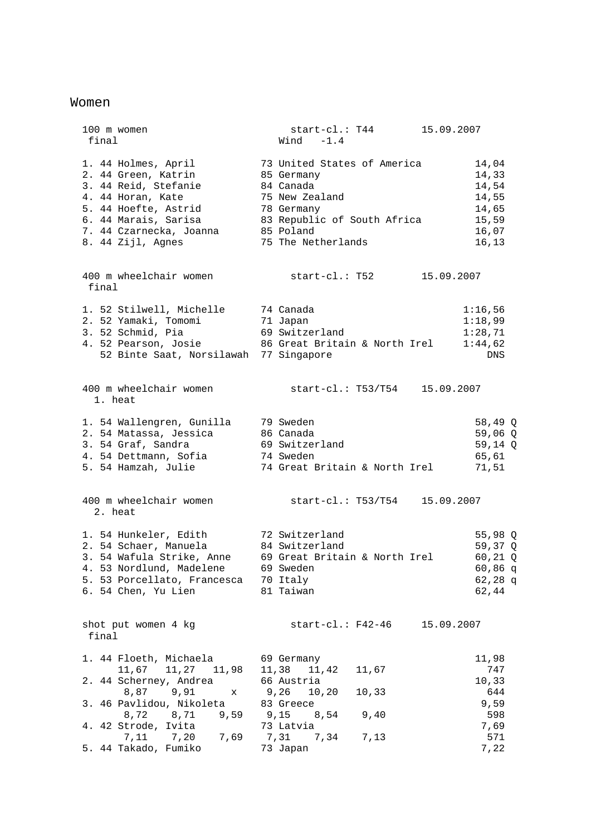#### Women

 100 m women start-cl.: T44 15.09.2007 final Wind -1.4 1. 44 Holmes, April 73 United States of America 14,04 2. 44 Green, Katrin 85 Germany 14,33 3. 44 Reid, Stefanie 84 Canada 14,54 4. 44 Horan, Kate 75 New Zealand 14,55 5. 44 Hoefte, Astrid 78 Germany 14,65 6. 44 Marais, Sarisa 83 Republic of South Africa 15,59 7. 44 Czarnecka, Joanna 85 Poland 16,07 8. 44 Zijl, Agnes 75 The Netherlands 16,13 400 m wheelchair women start-cl.: T52 15.09.2007 final 1. 52 Stilwell, Michelle 74 Canada 1:16,56 2. 52 Yamaki, Tomomi 71 Japan 1:18,99 3. 52 Schmid, Pia 69 Switzerland 1:28,71 4. 52 Pearson, Josie 86 Great Britain & North Irel 1:44,62 52 Binte Saat, Norsilawah 77 Singapore DNS 400 m wheelchair women start-cl.: T53/T54 15.09.2007 1. heat 1. 54 Wallengren, Gunilla 79 Sweden 58,49 Q 2. 54 Matassa, Jessica 86 Canada 59,06 Q 3. 54 Graf, Sandra 69 Switzerland 59,14 Q 4. 54 Dettmann, Sofia 74 Sweden 65,61 5. 54 Hamzah, Julie 74 Great Britain & North Irel 71,51 400 m wheelchair women start-cl.: T53/T54 15.09.2007 2. heat 1. 54 Hunkeler, Edith 72 Switzerland 55,98 Q 2. 54 Schaer, Manuela 84 Switzerland 59,37 Q 3. 54 Wafula Strike, Anne 69 Great Britain & North Irel 60,21 Q 4. 53 Nordlund, Madelene 69 Sweden 60,86 q 5. 53 Porcellato, Francesca 70 Italy 62,28 q 6. 54 Chen, Yu Lien 81 Taiwan 62,44 shot put women 4 kg start-cl.: F42-46 15.09.2007 final 1. 44 Floeth, Michaela 69 Germany 11,98 11,67 11,27 11,98 11,38 11,42 11,67 747 2. 44 Scherney, Andrea 66 Austria 10,33 8,87 9,91 x 9,26 10,20 10,33 644 3. 46 Pavlidou, Nikoleta 83 Greece 9,59 8,72 8,71 9,59 9,15 8,54 9,40 598 4. 42 Strode, Ivita 73 Latvia 7,69 7,11 7,20 7,69 7,31 7,34 7,13 571 5. 44 Takado, Fumiko 73 Japan 7,22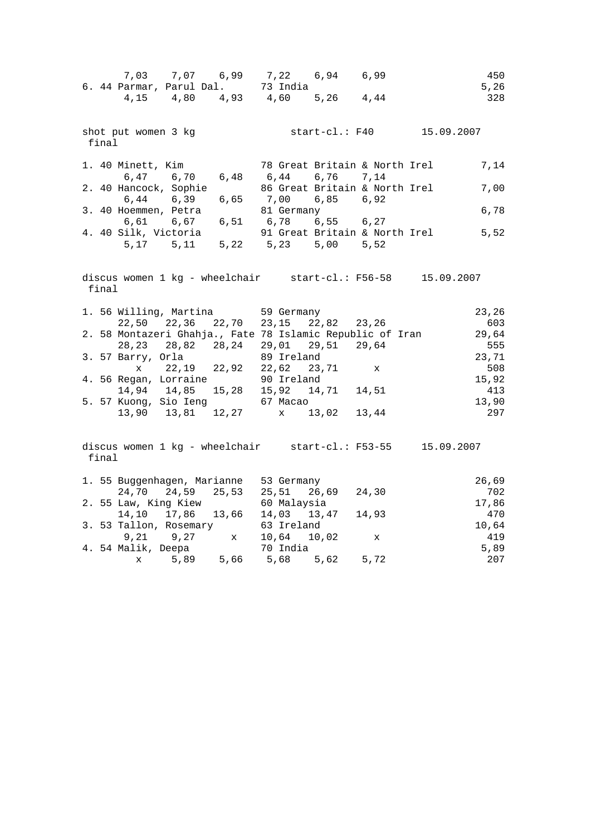|       | 7,03 7,07 6,99 7,22 6,94 6,99<br>6.44 Parmar, Parul Dal. 73 India                                                |  |                                               |           |              |                                                                                                                                                                                                                                                        | 450<br>5,26  |
|-------|------------------------------------------------------------------------------------------------------------------|--|-----------------------------------------------|-----------|--------------|--------------------------------------------------------------------------------------------------------------------------------------------------------------------------------------------------------------------------------------------------------|--------------|
|       | 4, 15 4, 80 4, 93 4, 60 5, 26 4, 44                                                                              |  |                                               |           |              |                                                                                                                                                                                                                                                        | 328          |
| final | shot put women 3 kg                                                                                              |  |                                               |           |              | start-cl.: F40 15.09.2007                                                                                                                                                                                                                              |              |
|       | 1. 40 Minett, Kim 30 78 Great Britain & North Irel<br>6,47 6,70 6,48 6,44 6,76 7,14                              |  |                                               |           |              |                                                                                                                                                                                                                                                        | 7,14         |
|       | 2. 40 Hancock, Sophie<br>6,44 6,39 6,65 7,00                                                                     |  | 86 Great Britain & North Irel                 | 6,85 6,92 |              |                                                                                                                                                                                                                                                        | 7,00         |
|       |                                                                                                                  |  |                                               |           |              |                                                                                                                                                                                                                                                        |              |
|       |                                                                                                                  |  |                                               |           |              | 3. 40 Hoemmen, Petra<br>6,61 6,67 6,51 6,78 6,55 6,27<br>10 Silk Victoria<br>10 Silk Victoria<br>5,52<br>10 Silk Victoria<br>10 Silk Victoria<br>10 Silk Victoria<br>10 Silk Victoria<br>10 Silk Victoria<br>10 Silk Victoria<br>10 Silk Victoria<br>1 |              |
| final |                                                                                                                  |  |                                               |           |              | discus women 1 kg - wheelchair start-cl.: F56-58 15.09.2007                                                                                                                                                                                            |              |
|       | 1. 56 Willing, Martina 59 Germany<br>22,50 22,36 22,70 23,15 22,82 23,26                                         |  |                                               |           |              |                                                                                                                                                                                                                                                        | 23,26<br>603 |
|       | 2. 58 Montazeri Ghahja., Fate 78 Islamic Republic of Iran<br>28, 23   28, 82   28, 24   29, 01   29, 51   29, 64 |  |                                               |           |              |                                                                                                                                                                                                                                                        | 29,64<br>555 |
|       | 3. 57 Barry, Orla                                                                                                |  | 89 Ireland<br>$x$ 22, 19 22, 92 22, 62 23, 71 |           | $\mathbf{x}$ |                                                                                                                                                                                                                                                        | 23,71<br>508 |
|       | 4. 56 Regan, Lorraine<br>14,94 14,85 15,28 15,92 14,71 14,51<br>5. 57 Kuong, Sio Ieng 67 Macao                   |  |                                               |           |              |                                                                                                                                                                                                                                                        | 15,92<br>413 |
|       | 13,90  13,81  12,27  x  13,02  13,44                                                                             |  |                                               |           |              |                                                                                                                                                                                                                                                        | 13,90<br>297 |
| final |                                                                                                                  |  |                                               |           |              | discus women $1 \text{ kg}$ - wheelchair start-cl.: F53-55 15.09.2007                                                                                                                                                                                  |              |
|       | 1. 55 Buggenhagen, Marianne 53 Germany<br>24,70 24,59 25,53 25,51 26,69 24,30                                    |  |                                               |           |              |                                                                                                                                                                                                                                                        | 26,69<br>702 |
|       | 2. 55 Law, King Kiew<br>14,10 17,86 13,66 14,03 13,47 14,93                                                      |  | 60 Malaysia                                   |           |              |                                                                                                                                                                                                                                                        | 17,86<br>470 |
|       | 3. 53 Tallon, Rosemary<br>9,21 9,27 x<br>4 E4 Malik Deepa                                                        |  | 63 Ireland<br>10,64 10,02                     |           | $\mathbf{x}$ |                                                                                                                                                                                                                                                        | 10,64<br>419 |
|       | 4. 54 Malik, Deepa<br>$\mathbf{x}$                                                                               |  | 70 India                                      |           |              |                                                                                                                                                                                                                                                        | 5,89<br>207  |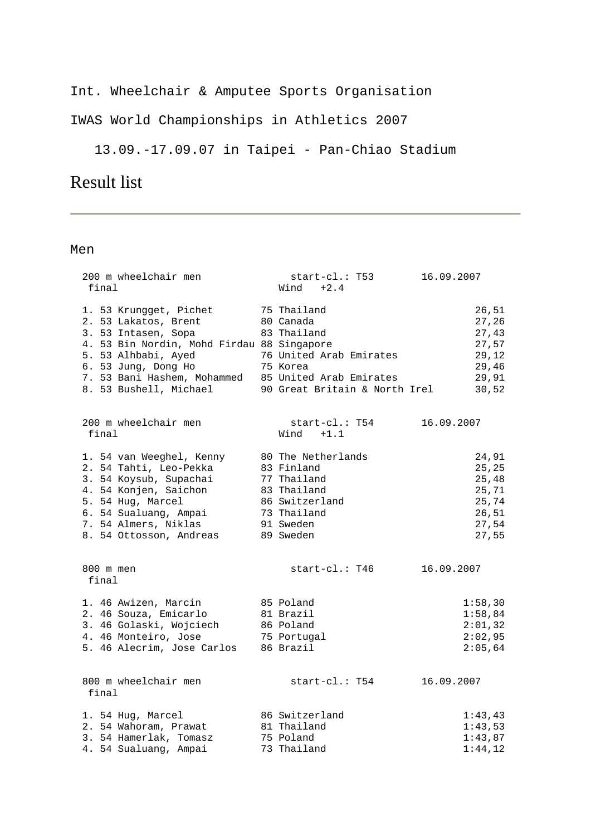Int. Wheelchair & Amputee Sports Organisation

IWAS World Championships in Athletics 2007

13.09.-17.09.07 in Taipei - Pan-Chiao Stadium

### Result list

| 200 m wheelchair men<br>final                                                                                                                                                                                                                      | start-cl.: T53<br>$Wind +2.4$                                                                                             | 16.09.2007 |                                                                       |
|----------------------------------------------------------------------------------------------------------------------------------------------------------------------------------------------------------------------------------------------------|---------------------------------------------------------------------------------------------------------------------------|------------|-----------------------------------------------------------------------|
| 1. 53 Krungget, Pichet<br>2. 53 Lakatos, Brent<br>3. 53 Intasen, Sopa<br>4. 53 Bin Nordin, Mohd Firdau 88 Singapore<br>5. 53 Alhbabi, Ayed<br>6. 53 Jung, Dong Ho<br>7. 53 Bani Hashem, Mohammed 85 United Arab Emirates<br>8. 53 Bushell, Michael | 75 Thailand<br>80 Canada<br>83 Thailand<br>76 United Arab Emirates<br>75 Korea<br>90 Great Britain & North Irel           |            | 26,51<br>27, 26<br>27,43<br>27,57<br>29,12<br>29,46<br>29,91<br>30,52 |
| 200 m wheelchair men<br>final                                                                                                                                                                                                                      | start-cl.: T54<br>$Wind +1.1$                                                                                             | 16.09.2007 |                                                                       |
| 1. 54 van Weeghel, Kenny<br>2. 54 Tahti, Leo-Pekka<br>3. 54 Koysub, Supachai<br>4. 54 Konjen, Saichon<br>5. 54 Hug, Marcel<br>6. 54 Sualuang, Ampai<br>7. 54 Almers, Niklas<br>8. 54 Ottosson, Andreas                                             | 80 The Netherlands<br>83 Finland<br>77 Thailand<br>83 Thailand<br>86 Switzerland<br>73 Thailand<br>91 Sweden<br>89 Sweden |            | 24,91<br>25,25<br>25,48<br>25,71<br>25,74<br>26, 51<br>27,54<br>27,55 |
| 800 m men<br>final                                                                                                                                                                                                                                 | start-cl.: T46                                                                                                            | 16.09.2007 |                                                                       |
| 1. 46 Awizen, Marcin<br>2. 46 Souza, Emicarlo<br>3. 46 Golaski, Wojciech<br>4. 46 Monteiro, Jose<br>5. 46 Alecrim, Jose Carlos 86 Brazil                                                                                                           | 85 Poland<br>81 Brazil<br>86 Poland<br>75 Portugal                                                                        |            | 1:58,30<br>1:58,84<br>2:01,32<br>2:02,95<br>2:05,64                   |
| 800 m wheelchair men<br>final                                                                                                                                                                                                                      | start-cl.: T54                                                                                                            | 16.09.2007 |                                                                       |
| 1. 54 Hug, Marcel<br>2. 54 Wahoram, Prawat<br>3. 54 Hamerlak, Tomasz<br>4. 54 Sualuang, Ampai                                                                                                                                                      | 86 Switzerland<br>81 Thailand<br>75 Poland<br>73 Thailand                                                                 |            | 1:43,43<br>1:43,53<br>1:43,87<br>1:44,12                              |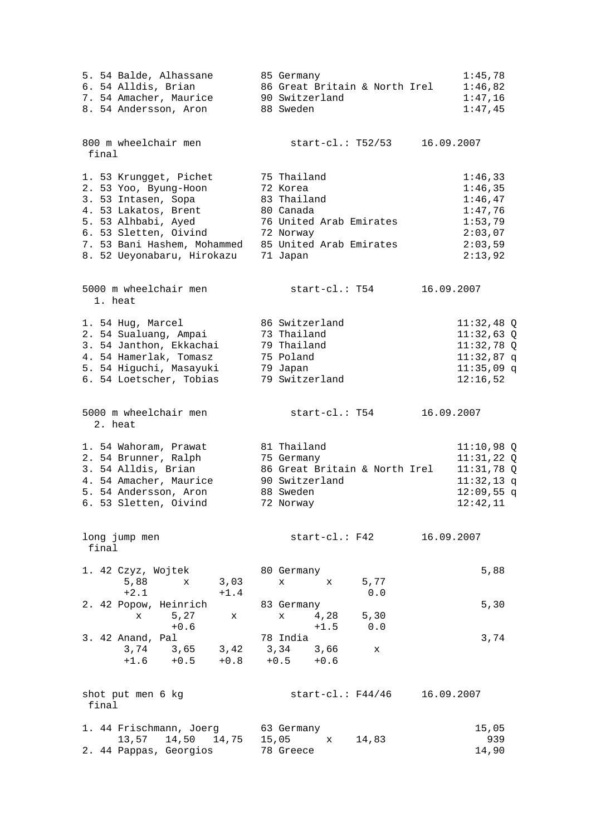| 5. 54 Balde, Alhassane<br>6. 54 Alldis, Brian<br>7. 54 Amacher, Maurice<br>8. 54 Andersson, Aron                                                                                                            | 85 Germany<br>86 Great Britain & North Irel<br>90 Switzerland<br>88 Sweden                                                         | 1:45,78<br>1:46,82<br>1:47,16<br>1:47,45                                                 |
|-------------------------------------------------------------------------------------------------------------------------------------------------------------------------------------------------------------|------------------------------------------------------------------------------------------------------------------------------------|------------------------------------------------------------------------------------------|
| 800 m wheelchair men<br>final                                                                                                                                                                               | $start-c1$ .: T52/53<br>16.09.2007                                                                                                 |                                                                                          |
| 1. 53 Krungget, Pichet<br>2. 53 Yoo, Byung-Hoon<br>3. 53 Intasen, Sopa<br>4. 53 Lakatos, Brent<br>5. 53 Alhbabi, Ayed<br>6. 53 Sletten, Oivind<br>7. 53 Bani Hashem, Mohammed<br>8. 52 Ueyonabaru, Hirokazu | 75 Thailand<br>72 Korea<br>83 Thailand<br>80 Canada<br>76 United Arab Emirates<br>72 Norway<br>85 United Arab Emirates<br>71 Japan | 1:46,33<br>1:46,35<br>1:46,47<br>1:47,76<br>1:53,79<br>2:03,07<br>2:03,59<br>2:13,92     |
| 5000 m wheelchair men<br>1. heat                                                                                                                                                                            | $start-c1.: T54$<br>16.09.2007                                                                                                     |                                                                                          |
| 1. 54 Hug, Marcel<br>2. 54 Sualuang, Ampai<br>3. 54 Janthon, Ekkachai<br>4. 54 Hamerlak, Tomasz<br>5. 54 Higuchi, Masayuki<br>6. 54 Loetscher, Tobias                                                       | 86 Switzerland<br>73 Thailand<br>79 Thailand<br>75 Poland<br>79 Japan<br>79 Switzerland                                            | $11:32,48$ Q<br>$11:32,63$ Q<br>$11:32,78$ Q<br>$11:32,87$ q<br>$11:35,09$ q<br>12:16,52 |
| 5000 m wheelchair men<br>2. heat                                                                                                                                                                            | start-cl.: T54<br>16.09.2007                                                                                                       |                                                                                          |
| 1. 54 Wahoram, Prawat<br>2. 54 Brunner, Ralph<br>3. 54 Alldis, Brian<br>4. 54 Amacher, Maurice<br>5. 54 Andersson, Aron<br>6. 53 Sletten, Oivind                                                            | 81 Thailand<br>75 Germany<br>86 Great Britain & North Irel<br>90 Switzerland<br>88 Sweden<br>72 Norway                             | $11:10,98$ Q<br>11:31,22Q<br>$11:31,78$ Q<br>$11:32,13$ q<br>$12:09,55$ q<br>12:42,11    |
| long jump men<br>final                                                                                                                                                                                      | $start-c1. : F42$<br>16.09.2007                                                                                                    |                                                                                          |
| 1. 42 Czyz, Wojtek<br>5,88<br>3,03<br>x<br>$+2.1$<br>$+1.4$                                                                                                                                                 | 80 Germany<br>5,77<br>$\mathbf x$<br>$\mathbf x$<br>$0.0$                                                                          | 5,88                                                                                     |
| 2. 42 Popow, Heinrich<br>5,27<br>$\mathbf{x}$<br>X<br>$+0.6$                                                                                                                                                | 83 Germany<br>4,28<br>5,30<br>$\mathbf x$<br>$+1.5$<br>0.0                                                                         | 5,30                                                                                     |
| 3. 42 Anand, Pal<br>3,74 3,65<br>3,42<br>$+0.8$<br>$+1.6 +0.5$                                                                                                                                              | 78 India<br>3,34 3,66<br>x<br>$+0.5 +0.6$                                                                                          | 3,74                                                                                     |
| shot put men 6 kg<br>final                                                                                                                                                                                  | $start-c1$ .: $F44/46$<br>16.09.2007                                                                                               |                                                                                          |
| 1. 44 Frischmann, Joerg 63 Germany<br>13,57 14,50 14,75 15,05<br>2. 44 Pappas, Georgios                                                                                                                     | 14,83<br>$\mathbf{x}$<br>78 Greece                                                                                                 | 15,05<br>939<br>14,90                                                                    |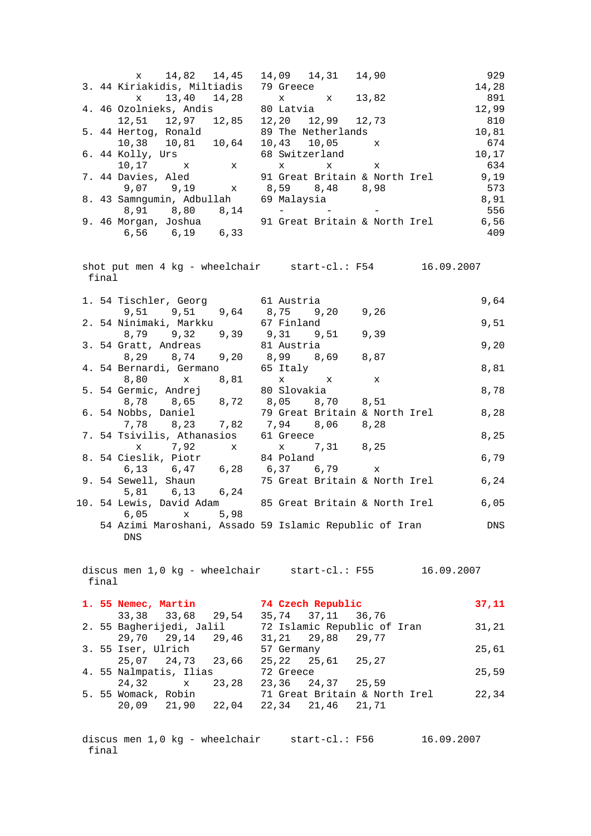|       | x 14,82 14,45 14,09 14,31 14,90<br>3.44 Kiriakidis, Miltiadis 79 Greece                                      |            |                                                                |   | 929        |
|-------|--------------------------------------------------------------------------------------------------------------|------------|----------------------------------------------------------------|---|------------|
|       |                                                                                                              |            |                                                                |   | 14,28      |
|       | x 13,40 14,28 x x 13,82<br>4.46 Ozolnieks, Andis 80 Latvia                                                   |            |                                                                |   | 891        |
|       |                                                                                                              |            |                                                                |   | 12,99      |
|       | 12,51 12,97 12,85 12,20 12,99 12,73                                                                          |            |                                                                |   | 810        |
|       | 5. 44 Hertog, Ronald 39 The Netherlands                                                                      |            |                                                                |   | 10,81      |
|       | $10,38$ $10,81$ $10,64$ $10,43$ $10,05$ x                                                                    |            |                                                                |   | 674        |
|       |                                                                                                              |            | 68 Switzerland                                                 |   | 10,17      |
|       | 6. 44 Kolly, Urs<br>10,17 $\boldsymbol{x}$ x                                                                 |            | $\mathbf{x} \qquad \qquad \mathbf{x} \qquad \qquad \mathbf{x}$ |   | 634        |
|       | 7. 44 Davies, Aled                                                                                           |            | 91 Great Britain & North Irel                                  |   | 9,19       |
|       | 44 Davies, Aled 91 Great Britain & No:<br>9,07 9,19 x 8,59 8,48 8,98                                         |            |                                                                |   | 573        |
|       | 8. 43 Samngumin, Adbullah 69 Malaysia                                                                        |            |                                                                |   | 8,91       |
|       |                                                                                                              |            |                                                                |   |            |
|       |                                                                                                              |            |                                                                |   |            |
|       | 8,91 8,80 8,14 - - - - - 556<br>9.46 Morgan, Joshua 91 Great Britain & North Irel 6,56<br>6,56 6,19 6,33 409 |            |                                                                |   |            |
|       |                                                                                                              |            |                                                                |   |            |
|       |                                                                                                              |            |                                                                |   |            |
|       | shot put men 4 kg - wheelchair start-cl.: F54 16.09.2007                                                     |            |                                                                |   |            |
| final |                                                                                                              |            |                                                                |   |            |
|       |                                                                                                              |            |                                                                |   |            |
|       | 1. 54 Tischler, Georg 61 Austria                                                                             |            |                                                                |   | 9,64       |
|       | 9,51 9,51 9,64 8,75 9,20 9,26                                                                                |            |                                                                |   |            |
|       | 2. 54 Ninimaki, Markku 67 Finland                                                                            |            |                                                                |   | 9,51       |
|       | 8,79 9,32 9,39 9,31 9,51 9,39                                                                                |            |                                                                |   |            |
|       | 3. 54 Gratt, Andreas 81 Austria                                                                              |            |                                                                |   | 9,20       |
|       | 8,29 8,74 9,20 8,99 8,69 8,87                                                                                |            |                                                                |   |            |
|       | 4. 54 Bernardi, Germano 65 Italy                                                                             |            |                                                                |   | 8,81       |
|       | 8,80 x 8,81 x x<br>54 Germic, Andrej 80 Slovakia                                                             |            |                                                                | X |            |
|       | 5. 54 Germic, Andrej 80 Slovakia<br>8,78 8,65 8,72 8,05 8,70 8,51                                            |            |                                                                |   | 8,78       |
|       |                                                                                                              |            |                                                                |   |            |
|       | 6. 54 Nobbs, Daniel                                                                                          |            | 79 Great Britain & North Irel                                  |   | 8,28       |
|       | 7,78 8,23 7,82 7,94 8,06 8,28                                                                                |            |                                                                |   |            |
|       | 7. 54 Tsivilis, Athanasios 61 Greece                                                                         |            |                                                                |   | 8,25       |
|       | x 7,92 x x 7,31 8,25                                                                                         |            |                                                                |   |            |
|       | 8. 54 Cieslik, Piotr 84 Poland<br>6,13 6,47 6,28 6,37 6,79 x<br>2. 54 Savell Shave 75 Creat Pritain 6 No     |            |                                                                |   | 6,79       |
|       |                                                                                                              |            |                                                                |   |            |
|       | 9. 54 Sewell, Shaun<br>$5,81$ $6,13$ $6,24$                                                                  |            | 75 Great Britain & North Irel                                  |   | 6,24       |
|       | 10. 54 Lewis, David Adam 85 Great Britain & North Irel 6,05                                                  |            |                                                                |   |            |
|       | 5,98<br>$6.05 \times$                                                                                        |            |                                                                |   |            |
|       |                                                                                                              |            |                                                                |   |            |
|       | 54 Azimi Maroshani, Assado 59 Islamic Republic of Iran                                                       |            |                                                                |   | DNS        |
|       | DNS                                                                                                          |            |                                                                |   |            |
|       |                                                                                                              |            |                                                                |   |            |
|       | discus men 1,0 kg - wheelchair start-cl.: F55                                                                |            |                                                                |   |            |
| final |                                                                                                              |            |                                                                |   | 16.09.2007 |
|       |                                                                                                              |            |                                                                |   |            |
|       | 1. 55 Nemec, Martin                                                                                          |            | 74 Czech Republic                                              |   | 37,11      |
|       | 33, 38 33, 68 29, 54 35, 74 37, 11 36, 76                                                                    |            |                                                                |   |            |
|       | 2. 55 Bagherijedi, Jalil 72 Islamic Republic of Iran                                                         |            |                                                                |   |            |
|       | 29,70 29,14 29,46 31,21 29,88 29,77                                                                          |            |                                                                |   | 31,21      |
|       | 3. 55 Iser, Ulrich                                                                                           | 57 Germany |                                                                |   | 25,61      |
|       | 25,07 24,73 23,66 25,22 25,61 25,27                                                                          |            |                                                                |   |            |
|       | 4. 55 Nalmpatis, Ilias                                                                                       | 72 Greece  |                                                                |   | 25,59      |
|       | 23,28<br>24,32<br>$\mathbf x$                                                                                |            | 23,36 24,37 25,59                                              |   |            |
|       | 5. 55 Womack, Robin                                                                                          |            | 71 Great Britain & North Irel                                  |   | 22,34      |
|       | 20,09 21,90 22,04                                                                                            |            | 22,34 21,46 21,71                                              |   |            |
|       |                                                                                                              |            |                                                                |   |            |
|       |                                                                                                              |            |                                                                |   |            |
|       |                                                                                                              |            |                                                                |   | $2007$     |

discus men 1,0 kg - wheelchair start-cl.: F56 16.09.2007 final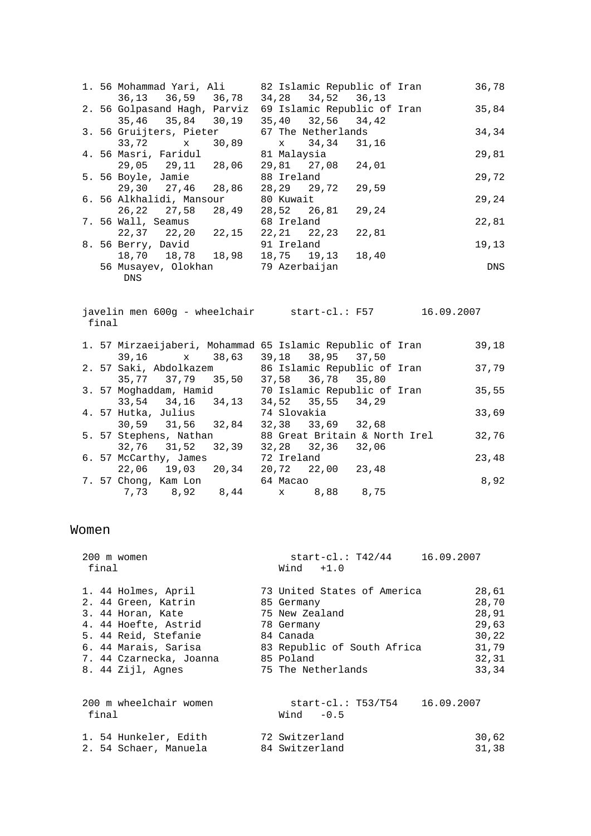|  |     | 1. 56 Mohammad Yari, Ali                   |            | 82 Islamic Republic of Iran |       | 36,78 |
|--|-----|--------------------------------------------|------------|-----------------------------|-------|-------|
|  |     | 36,13 36,59 36,78                          |            | 34, 28 34, 52 36, 13        |       |       |
|  |     | 2. 56 Golpasand Hagh, Parviz               |            | 69 Islamic Republic of Iran |       | 35,84 |
|  |     | 35,46 35,84 30,19                          |            | 35,40 32,56 34,42           |       |       |
|  |     | 3. 56 Gruijters, Pieter 67 The Netherlands |            |                             |       | 34,34 |
|  |     | 33,72 x 30,89                              |            | x 34,34 31,16               |       |       |
|  |     | 4.56 Masri, Faridul and 81 Malaysia        |            |                             |       | 29,81 |
|  |     | 29,05 29,11 28,06 29,81 27,08 24,01        |            |                             |       |       |
|  |     | 5. 56 Boyle, Jamie                         | 88 Ireland |                             |       | 29,72 |
|  |     | 29,30 27,46 28,86                          |            | 28, 29 29, 72 29, 59        |       |       |
|  |     | 6. 56 Alkhalidi, Mansour 80 Kuwait         |            |                             |       | 29,24 |
|  |     | 26,22 27,58 28,49                          |            | 28,52 26,81                 | 29,24 |       |
|  |     | 7. 56 Wall, Seamus                         | 68 Ireland |                             |       | 22,81 |
|  |     | 22,37 22,20 22,15 22,21 22,23 22,81        |            |                             |       |       |
|  |     | 8. 56 Berry, David                         | 91 Ireland |                             |       | 19,13 |
|  |     | 18,70 18,78 18,98 18,75 19,13 18,40        |            |                             |       |       |
|  |     | 56 Musayev, Olokhan 59 Azerbaijan          |            |                             |       | DNS   |
|  | DNS |                                            |            |                             |       |       |

 javelin men 600g - wheelchair start-cl.: F57 16.09.2007 final

| :t-cl.: F57 |  | 16.09. |  |  |
|-------------|--|--------|--|--|
|             |  |        |  |  |

| 39,18<br>1. 57 Mirzaeijaberi, Mohammad 65 Islamic Republic of Iran |
|--------------------------------------------------------------------|
|                                                                    |
| 37,79<br>2. 57 Saki, Abdolkazem 186 Islamic Republic of Iran       |
|                                                                    |
| 70 Islamic Republic of Iran<br>35,55                               |
|                                                                    |
| 33,69                                                              |
|                                                                    |
| 88 Great Britain & North Irel<br>32,76                             |
|                                                                    |
| 23,48                                                              |
|                                                                    |
| 8,92                                                               |
|                                                                    |
|                                                                    |

#### Women

| 200 m women<br>final                                                                                                                                                                    | start-cl.: T42/44 16.09.2007<br>$Wind +1.0$                                                                                                              |                                                                      |
|-----------------------------------------------------------------------------------------------------------------------------------------------------------------------------------------|----------------------------------------------------------------------------------------------------------------------------------------------------------|----------------------------------------------------------------------|
| 1. 44 Holmes, April<br>2. 44 Green, Katrin<br>3. 44 Horan, Kate<br>4. 44 Hoefte, Astrid<br>5. 44 Reid, Stefanie<br>6. 44 Marais, Sarisa<br>7. 44 Czarnecka, Joanna<br>8. 44 Zijl, Agnes | 73 United States of America<br>85 Germany<br>75 New Zealand<br>78 Germany<br>84 Canada<br>83 Republic of South Africa<br>85 Poland<br>75 The Netherlands | 28,61<br>28,70<br>28,91<br>29,63<br>30,22<br>31,79<br>32,31<br>33,34 |
| 200 m wheelchair women<br>final<br>1. 54 Hunkeler, Edith<br>2. 54 Schaer, Manuela                                                                                                       | start-cl.: T53/T54 16.09.2007<br>$Wind -0.5$<br>72 Switzerland<br>84 Switzerland                                                                         | 30,62<br>31,38                                                       |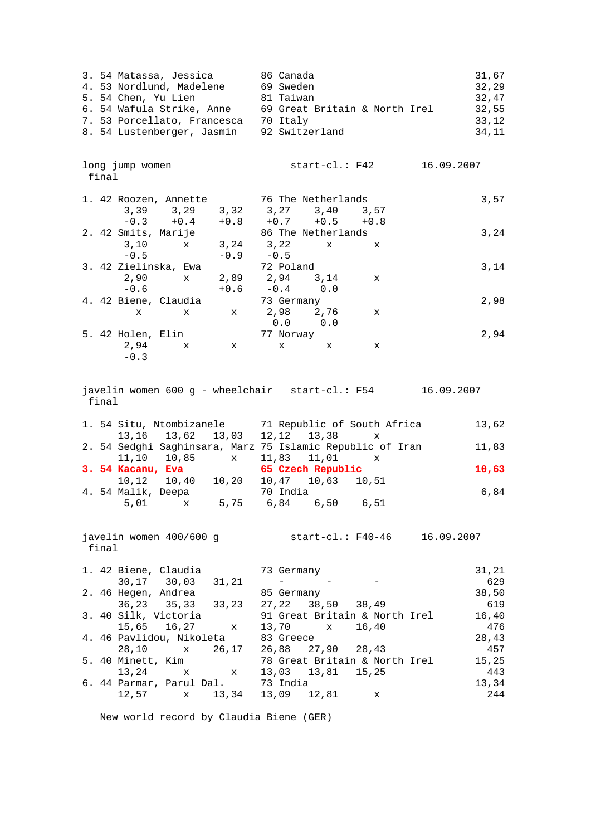| 3. 54 Matassa, Jessica<br>4. 53 Nordlund, Madelene<br>5. 54 Chen, Yu Lien<br>6. 54 Wafula Strike, Anne<br>7. 53 Porcellato, Francesca<br>8. 54 Lustenberger, Jasmin | 86 Canada<br>69 Sweden<br>81 Taiwan<br>69 Great Britain & North Irel<br>70 Italy<br>92 Switzerland | 31,67<br>32,29<br>32,47<br>32,55<br>33,12<br>34,11 |
|---------------------------------------------------------------------------------------------------------------------------------------------------------------------|----------------------------------------------------------------------------------------------------|----------------------------------------------------|
| long jump women<br>final                                                                                                                                            | 16.09.2007<br>start-cl.: F42                                                                       |                                                    |
| 1. 42 Roozen, Annette<br>3,39 3,29 3,32 3,27 3,40 3,57<br>$-0.3$ $+0.4$ $+0.8$ $+0.7$ $+0.5$ $+0.8$                                                                 | 76 The Netherlands                                                                                 | 3,57                                               |
| 2. 42 Smits, Marije<br>x 3,24 3,22<br>3,10<br>$-0.5$<br>$-0.9 - 0.5$                                                                                                | 86 The Netherlands<br>X<br>X                                                                       | 3,24                                               |
| 3. 42 Zielinska, Ewa<br>2,90<br>2,89 2,94<br>$\mathbf x$<br>$-0.6$<br>$+0.6$                                                                                        | 72 Poland<br>3,14<br>$\mathbf x$<br>$-0.4$<br>0.0                                                  | 3,14                                               |
| 4. 42 Biene, Claudia<br>$\mathbf{x}$<br>$\mathbf{x}$<br>X                                                                                                           | 73 Germany<br>2,98 2,76<br>X<br>0.0<br>0.0                                                         | 2,98                                               |
| 5. 42 Holen, Elin<br>2,94<br>X<br>$\mathbf{x}$<br>$-0.3$                                                                                                            | 77 Norway<br>X<br>$\mathbf{x}$<br>х                                                                | 2,94                                               |
| final                                                                                                                                                               | javelin women $600 g$ - wheelchair start-cl.: $F54$ 16.09.2007                                     |                                                    |
|                                                                                                                                                                     |                                                                                                    |                                                    |
| 1. 54 Situ, Ntombizanele 31 Republic of South Africa                                                                                                                |                                                                                                    | 13,62                                              |
| 13, 16 13, 62 13, 03<br>2. 54 Sedghi Saghinsara, Marz 75 Islamic Republic of Iran                                                                                   | 12, 12 13, 38<br>x                                                                                 | 11,83                                              |
| 11,10 10,85 x<br>3. 54 Kacanu, Eva                                                                                                                                  | $11,83$ $11,01$ x<br>65 Czech Republic                                                             | 10,63                                              |
| 10,12  10,40  10,20<br>4. 54 Malik, Deepa                                                                                                                           | 10,47 10,63 10,51<br>70 India                                                                      | 6,84                                               |
| 5,01 x 5,75 6,84 6,50 6,51<br>javelin women 400/600 g<br>final                                                                                                      | start-cl.: F40-46 16.09.2007                                                                       |                                                    |
| 1. 42 Biene, Claudia                                                                                                                                                | 73 Germany                                                                                         | 31, 21                                             |
| 30,17 30,03<br>31,21<br>2. 46 Hegen, Andrea                                                                                                                         | $\sim$<br>85 Germany                                                                               | 629<br>38,50                                       |
| 36,23 35,33<br>33,23<br>3. 40 Silk, Victoria                                                                                                                        | 27,22<br>38,50<br>38,49<br>91 Great Britain & North Irel                                           | 619<br>16,40                                       |
| 15,65 16,27<br>x<br>4. 46 Pavlidou, Nikoleta                                                                                                                        | 13,70<br>16,40<br>$\mathbf x$<br>83 Greece                                                         | 476<br>28,43                                       |
| 28,10<br>26,17<br>X<br>5. 40 Minett, Kim<br>13,24<br>x<br>$\mathbf x$                                                                                               | 26,88 27,90 28,43<br>78 Great Britain & North Irel<br>13,03 13,81 15,25                            | 457<br>15,25<br>443                                |

New world record by Claudia Biene (GER)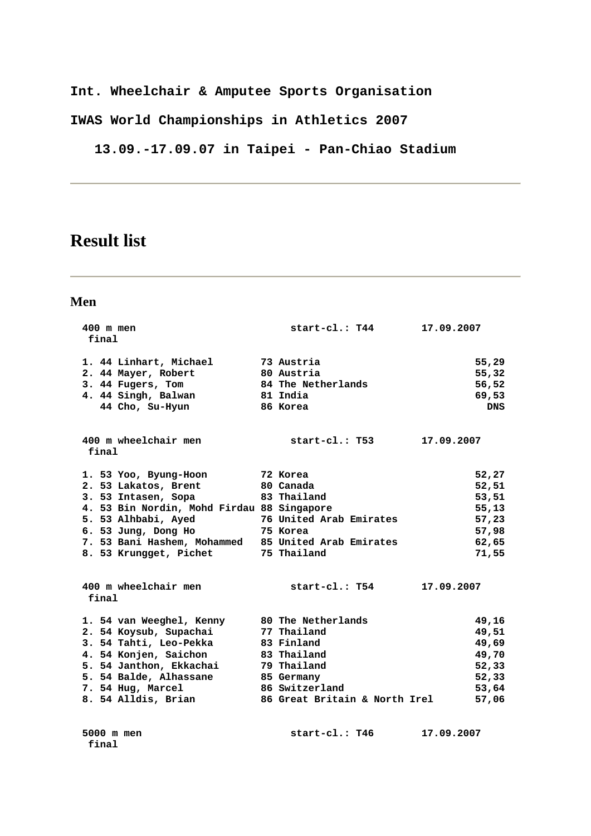**Int. Wheelchair & Amputee Sports Organisation** 

**IWAS World Championships in Athletics 2007** 

 **13.09.-17.09.07 in Taipei - Pan-Chiao Stadium** 

# **Result list**

 **final** 

| 400 m men<br>final                                  | start-cl.: T44                | 17.09.2007 |            |
|-----------------------------------------------------|-------------------------------|------------|------------|
|                                                     |                               |            |            |
| 1. 44 Linhart, Michael                              | 73 Austria                    |            | 55,29      |
| 2. 44 Mayer, Robert                                 | 80 Austria                    |            | 55,32      |
| 3. 44 Fugers, Tom                                   | 84 The Netherlands            |            | 56,52      |
| 4. 44 Singh, Balwan                                 | 81 India                      |            | 69,53      |
| 44 Cho, Su-Hyun                                     | 86 Korea                      |            | <b>DNS</b> |
| 400 m wheelchair men                                | start-cl.: T53                | 17.09.2007 |            |
| final                                               |                               |            |            |
| 1. 53 Yoo, Byung-Hoon                               | 72 Korea                      |            | 52,27      |
| 2. 53 Lakatos, Brent                                | 80 Canada                     |            | 52,51      |
| 3. 53 Intasen, Sopa                                 | 83 Thailand                   |            | 53,51      |
| 4. 53 Bin Nordin, Mohd Firdau 88 Singapore          |                               |            | 55,13      |
| 5. 53 Alhbabi, Ayed                                 | 76 United Arab Emirates       |            | 57,23      |
| 6. 53 Jung, Dong Ho                                 | 75 Korea                      |            | 57,98      |
| 7. 53 Bani Hashem, Mohammed 85 United Arab Emirates |                               |            | 62,65      |
| 8. 53 Krungget, Pichet 75 Thailand                  |                               |            | 71,55      |
| 400 m wheelchair men                                | start-cl.: T54                | 17.09.2007 |            |
| final                                               |                               |            |            |
| 1. 54 van Weeghel, Kenny 80 The Netherlands         |                               |            | 49,16      |
| 2. 54 Koysub, Supachai                              | 77 Thailand                   |            | 49,51      |
| 3. 54 Tahti, Leo-Pekka                              | 83 Finland                    |            | 49,69      |
| 4. 54 Konjen, Saichon                               | 83 Thailand                   |            | 49,70      |
| 5. 54 Janthon, Ekkachai                             | 79 Thailand                   |            | 52,33      |
| 5. 54 Balde, Alhassane                              | 85 Germany                    |            | 52, 33     |
| 7. 54 Hug, Marcel                                   | 86 Switzerland                |            | 53,64      |
| 8. 54 Alldis, Brian                                 | 86 Great Britain & North Irel |            | 57,06      |
| 5000 m men                                          | start-cl.: T46                | 17.09.2007 |            |
|                                                     |                               |            |            |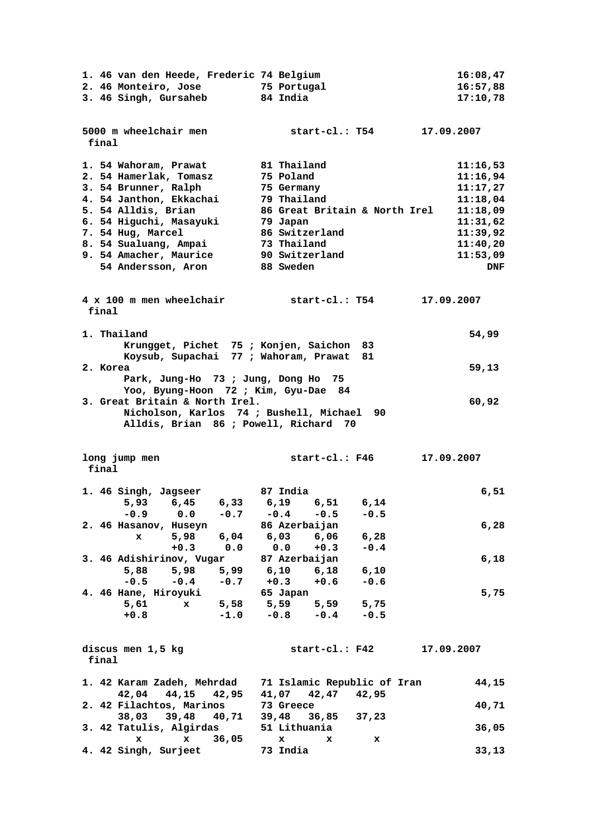|          |                                |                   |           | 1. 46 van den Heede, Frederic 74 Belgium                                                   |        |            | 16:08,47   |
|----------|--------------------------------|-------------------|-----------|--------------------------------------------------------------------------------------------|--------|------------|------------|
|          |                                |                   |           | 2. 46 Monteiro, Jose 55 Portugal                                                           |        |            | 16:57,88   |
|          | 3. 46 Singh, Gursaheb 84 India |                   |           |                                                                                            |        |            | 17:10,78   |
|          |                                |                   |           |                                                                                            |        |            |            |
|          | 5000 m wheelchair men          |                   |           | start-cl.: T54                                                                             |        | 17.09.2007 |            |
| final    |                                |                   |           |                                                                                            |        |            |            |
|          |                                |                   |           |                                                                                            |        |            |            |
|          | 1. 54 Wahoram, Prawat          |                   |           | 81 Thailand                                                                                |        |            | 11:16,53   |
|          | 2. 54 Hamerlak, Tomasz         |                   |           | 75 Poland                                                                                  |        |            | 11:16,94   |
|          | 3. 54 Brunner, Ralph           |                   |           | 75 Germany                                                                                 |        |            | 11:17,27   |
|          | 4. 54 Janthon, Ekkachai        |                   |           | 79 Thailand                                                                                |        |            | 11:18.04   |
|          | 5. 54 Alldis, Brian            |                   |           | 86 Great Britain & North Irel                                                              |        |            | 11:18,09   |
|          | 6. 54 Higuchi, Masayuki        |                   |           | 79 Japan                                                                                   |        |            | 11:31,62   |
|          | 7. 54 Hug, Marcel              |                   |           | 86 Switzerland                                                                             |        |            | 11:39,92   |
|          | 8. 54 Sualuang, Ampai          |                   |           | 73 Thailand                                                                                |        |            | 11:40,20   |
|          | 9. 54 Amacher, Maurice         |                   |           | 90 Switzerland                                                                             |        |            | 11:53,09   |
|          | 54 Andersson, Aron             |                   |           | <b>88 Sweden</b>                                                                           |        |            | <b>DNF</b> |
|          |                                |                   |           |                                                                                            |        |            |            |
|          |                                |                   |           | 4 x 100 m men wheelchair start-cl.: T54                                                    |        | 17.09.2007 |            |
| final    |                                |                   |           |                                                                                            |        |            |            |
|          |                                |                   |           |                                                                                            |        |            |            |
|          | 1. Thailand                    |                   |           |                                                                                            |        |            | 54,99      |
|          |                                |                   |           | Krungget, Pichet 75 ; Konjen, Saichon 83                                                   |        |            |            |
|          |                                |                   |           | Koysub, Supachai 77 ; Wahoram, Prawat                                                      | 81     |            |            |
| 2. Korea |                                |                   |           |                                                                                            |        |            | 59,13      |
|          |                                |                   |           | Park, Jung-Ho 73 ; Jung, Dong Ho 75                                                        |        |            |            |
|          |                                |                   |           | Yoo, Byung-Hoon 72; Kim, Gyu-Dae 84                                                        |        |            |            |
|          | 3. Great Britain & North Irel. |                   |           |                                                                                            |        |            | 60,92      |
|          |                                |                   |           | Nicholson, Karlos 74 ; Bushell, Michael 90                                                 |        |            |            |
|          |                                |                   |           | Alldis, Brian 86 ; Powell, Richard 70                                                      |        |            |            |
|          |                                |                   |           |                                                                                            |        |            |            |
|          |                                |                   |           |                                                                                            |        |            |            |
|          |                                |                   |           |                                                                                            |        |            |            |
|          | long jump men                  |                   |           | start-cl.: F46                                                                             |        | 17.09.2007 |            |
| final    |                                |                   |           |                                                                                            |        |            |            |
|          | 1. 46 Singh, Jagseer 87 India  |                   |           |                                                                                            |        |            | 6, 51      |
|          |                                |                   |           | 5,93 6,45 6,33 6,19 6,51 6,14                                                              |        |            |            |
|          |                                |                   |           | $-0.9$ 0.0 $-0.7$ $-0.4$ $-0.5$ $-0.5$                                                     |        |            |            |
|          | 2. 46 Hasanov, Huseyn          |                   |           | 86 Azerbaijan                                                                              |        |            | 6,28       |
|          | $\mathbf{x}$                   |                   | 5,98 6,04 | 6,03<br>6,06                                                                               | 6,28   |            |            |
|          |                                | $+0.3$ 0.0        |           | 0.0<br>$+0.3$                                                                              | $-0.4$ |            |            |
|          |                                |                   |           |                                                                                            |        |            | 6,18       |
|          |                                |                   |           | 3. 46 Adishirinov, Vugar 87 Azerbaijan<br>5,88 5,98 5,99 6,10 6,18<br>$6,10$ $6,18$ $6,10$ |        |            |            |
|          | $-0.5$                         |                   |           | $-0.4$ $-0.7$ $+0.3$ $+0.6$                                                                | $-0.6$ |            |            |
|          | 4. 46 Hane, Hiroyuki           |                   |           | 65 Japan                                                                                   |        |            | 5,75       |
|          | 5.61 x                         |                   |           | 5,58 5,59 5,59 5,75                                                                        |        |            |            |
|          | $+0.8$                         |                   |           | $-1.0$ $-0.8$ $-0.4$ $-0.5$                                                                |        |            |            |
|          |                                |                   |           |                                                                                            |        |            |            |
|          |                                |                   |           |                                                                                            |        |            |            |
|          | discus men 1,5 kg              |                   |           | start-cl.: F42                                                                             |        | 17.09.2007 |            |
| final    |                                |                   |           |                                                                                            |        |            |            |
|          |                                |                   |           |                                                                                            |        |            |            |
|          |                                |                   |           | 1. 42 Karam Zadeh, Mehrdad 71 Islamic Republic of Iran                                     |        |            | 44,15      |
|          |                                | 42,04 44,15 42,95 |           | 41,07 42,47 42,95<br>73 Greece                                                             |        |            | 40,71      |
|          | 2. 42 Filachtos, Marinos       | 38,03 39,48 40,71 |           | 39,48 36,85 37,23                                                                          |        |            |            |
|          | 3. 42 Tatulis, Algirdas        |                   |           | 51 Lithuania                                                                               |        |            | 36,05      |
|          | $\mathbf{x}$                   | $\mathbf{x}$      | 36,05     | x<br>x                                                                                     | x      |            |            |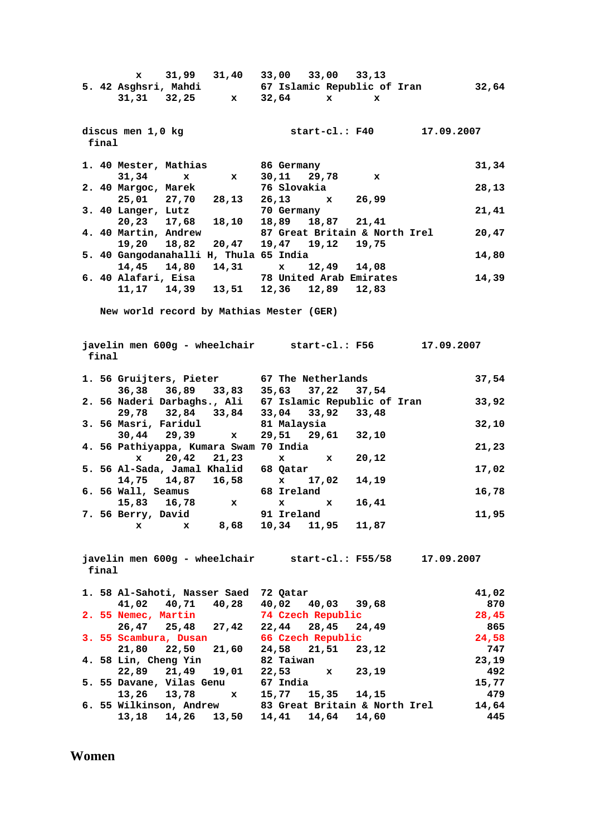**x** 31,99 31,40 33,00 33,00 33,13<br>5. 42 Asghsri, Mahdi 67 Islamic Republic of  **5. 42 Asghsri, Mahdi 67 Islamic Republic of Iran 32,64 31,31 32,25 x 32,64 x x discus men 1,0 kg start-cl.: F40 17.09.2007 final 1. 40 Mester, Mathias 86 Germany 31,34 31,34 x x 30,11 29,78 x 2. 40 Margoc, Marek 76 Slovakia 28,13 25,01 27,70 28,13 26,13 x 26,99 3. 40 Langer, Lutz 70 Germany 21,41 20,23 17,68 18,10 18,89 18,87 21,41 4. 40 Martin, Andrew 87 Great Britain & North Irel 20,47 19,20 18,82 20,47 19,47 19,12 19,75 19,20 18,82 20,47 19,47 19,12 19,75 5. 40 Gangodanahalli H, Thula 65 India 14,80 14,45 14,80 14,31 x 12,49 14,08 6. 40 Alafari, Eisa 78 United Arab Emirates 14,39 11,17 14,39 13,51 12,36 12,89 12,83 New world record by Mathias Mester (GER) javelin men 600g - wheelchair start-cl.: F56 17.09.2007 final 1. 56 Gruijters, Pieter 67 The Netherlands 37,54 36,38 36,89 33,83 35,63 37,22 37,54 2. 56 Naderi Darbaghs., Ali 67 Islamic Republic of Iran 33,92 29,78 32,84 33,84 33,04 33,92 33,48 3. 56 Masri, Faridul 81 Malaysia 32,10 30,44 29,39 x 29,51 29,61 32,10 4. 56 Pathiyappa, Kumara Swam 70 India 21,23 x 20,42 21,23 x x 20,12 5. 56 Al-Sada, Jamal Khalid 68 Qatar 17,02 14,75 14,87 16,58 x 17,02 14,19 6. 56 Wall, Seamus 68 Ireland 16,78 15,83 16,78 x x x 16,41 7. 56 Berry, David 91 Ireland 11,95 x x 8,68 10,34 11,95 11,87 javelin men 600g - wheelchair start-cl.: F55/58 17.09.2007 final 1. 58 Al-Sahoti, Nasser Saed 72 Qatar 41,02 41,02 40,71 40,28 40,02 40,03 39,68 870 2. 55 Nemec, Martin 74 Czech Republic 28,45 26,47 25,48 27,42 22,44 28,45 24,49 865 3. 55 Scambura, Dusan 66 Czech Republic 24,58 21,80 22,50 21,60 24,58 21,51 23,12 747 4. 58 Lin, Cheng Yin 82 Taiwan 23,19 22,89 21,49 19,01 22,53 x 23,19 492 5. 55 Davane, Vilas Genu 67 India 15,77 13,26 13,78 x 15,77 15,35 14,15 479 6. 55 Wilkinson, Andrew 83 Great Britain & North Irel 14,64 13,18 14,26 13,50 14,41 14,64 14,60 445** 

**Women**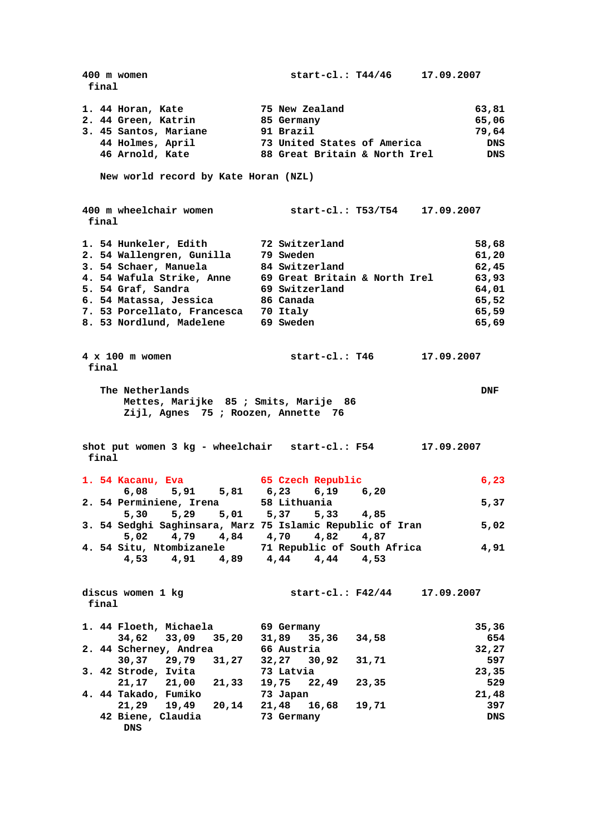**400 m women start-cl.: T44/46 17.09.2007 final 1. 44 Horan, Kate 75 New Zealand 63,81 2. 44 Green, Katrin 85 Germany 65,06 3. 45 Santos, Mariane 91 Brazil 79,64 44 Holmes, April 73 United States of America DNS 46 Arnold, Kate 88 Great Britain & North Irel DNS New world record by Kate Horan (NZL) 400 m wheelchair women start-cl.: T53/T54 17.09.2007 final 1. 54 Hunkeler, Edith 72 Switzerland 58,68 2. 54 Wallengren, Gunilla 79 Sweden 61,20 3. 54 Schaer, Manuela 84 Switzerland 62,45 4. 54 Wafula Strike, Anne 69 Great Britain & North Irel 63,93 5. 54 Graf, Sandra 69 Switzerland 64,01 6. 54 Matassa, Jessica 86 Canada 65,52 7. 53 Porcellato, Francesca 70 Italy 65,59 8. 53 Nordlund, Madelene 69 Sweden 65,69 4 x 100 m women start-cl.: T46 17.09.2007 final The Netherlands** DNF  **Mettes, Marijke 85 ; Smits, Marije 86 Zijl, Agnes 75 ; Roozen, Annette 76 shot put women 3 kg - wheelchair start-cl.: F54 17.09.2007 final 1. 54 Kacanu, Eva 65 Czech Republic 6,23 6,08 5,91 5,81 6,23 6,19 6,20 2. 54 Perminiene, Irena 58 Lithuania 5,37 5,30 5,29 5,01 5,37 5,33 4,85 3. 54 Sedghi Saghinsara, Marz 75 Islamic Republic of Iran 5,02 5,02 4,79 4,84 4,70 4,82 4,87 4. 54 Situ, Ntombizanele 71 Republic of South Africa 4,91 4,53 4,91 4,89 4,44 4,44 4,53 discus women 1 kg start-cl.: F42/44 17.09.2007 final 1. 44 Floeth, Michaela 69 Germany 35,36 34,62 33,09 35,20 31,89 35,36 34,58 654 2. 44 Scherney, Andrea 66 Austria 32,27 30,37 29,79 31,27 32,27 30,92 31,71 597 3. 42 Strode, Ivita 73 Latvia 23,35 21,17 21,00 21,33 19,75 22,49 23,35 529 4. 44 Takado, Fumiko 73 Japan 21,48 21,29 19,49 20,14 21,48 16,68 19,71 397 42 Biene, Claudia 73 Germany DNS DNS**